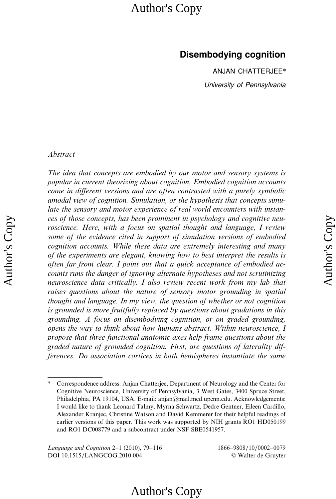### Disembodying cognition

ANJAN CHATTERJEE\* University of Pennsylvania

### Abstract

Author's Copy Author's Copy

The idea that concepts are embodied by our motor and sensory systems is popular in current theorizing about cognition. Embodied cognition accounts come in different versions and are often contrasted with a purely symbolic amodal view of cognition. Simulation, or the hypothesis that concepts simulate the sensory and motor experience of real world encounters with instances of those concepts, has been prominent in psychology and cognitive neuroscience. Here, with a focus on spatial thought and language, I review some of the evidence cited in support of simulation versions of embodied cognition accounts. While these data are extremely interesting and many of the experiments are elegant, knowing how to best interpret the results is often far from clear. I point out that a quick acceptance of embodied accounts runs the danger of ignoring alternate hypotheses and not scrutinizing neuroscience data critically. I also review recent work from my lab that raises questions about the nature of sensory motor grounding in spatial thought and language. In my view, the question of whether or not cognition is grounded is more fruitfully replaced by questions about gradations in this grounding. A focus on disembodying cognition, or on graded grounding, opens the way to think about how humans abstract. Within neuroscience, I propose that three functional anatomic axes help frame questions about the graded nature of grounded cognition. First, are questions of laterality differences. Do association cortices in both hemispheres instantiate the same

<sup>\*</sup> Correspondence address: Anjan Chatterjee, Department of Neurology and the Center for Cognitive Neuroscience, University of Pennsylvania, 3 West Gates, 3400 Spruce Street, Philadelphia, PA 19104, USA. E-mail: anjan@mail.med.upenn.edu. Acknowledgements: I would like to thank Leonard Talmy, Myrna Schwartz, Dedre Gentner, Eileen Cardillo, Alexander Kranjec, Christine Watson and David Kemmerer for their helpful readings of earlier versions of this paper. This work was supported by NIH grants RO1 HD050199 and RO1 DC008779 and a subcontract under NSF SBE0541957.

Language and Cognition 2–1 (2010), 79–116 1866–9808/10/0002–0079 DOI 10.1515/LANGCOG.2010.004 *6* Walter de Gruyter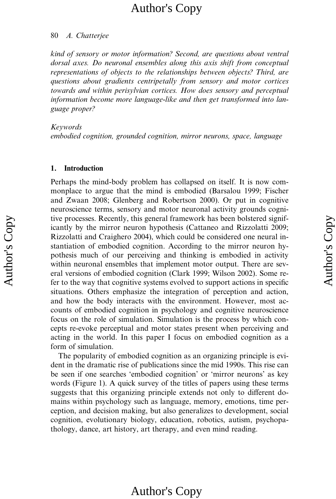### 80 A. Chatterjee

kind of sensory or motor information? Second, are questions about ventral dorsal axes. Do neuronal ensembles along this axis shift from conceptual representations of objects to the relationships between objects? Third, are questions about gradients centripetally from sensory and motor cortices towards and within perisylvian cortices. How does sensory and perceptual information become more language-like and then get transformed into language proper?

Keywords

Author's Copy Author's Copy

embodied cognition, grounded cognition, mirror neurons, space, language

### 1. Introduction

Perhaps the mind-body problem has collapsed on itself. It is now commonplace to argue that the mind is embodied (Barsalou 1999; Fischer and Zwaan 2008; Glenberg and Robertson 2000). Or put in cognitive neuroscience terms, sensory and motor neuronal activity grounds cognitive processes. Recently, this general framework has been bolstered significantly by the mirror neuron hypothesis (Cattaneo and Rizzolatti 2009; Rizzolatti and Craighero 2004), which could be considered one neural instantiation of embodied cognition. According to the mirror neuron hypothesis much of our perceiving and thinking is embodied in activity within neuronal ensembles that implement motor output. There are several versions of embodied cognition (Clark 1999; Wilson 2002). Some refer to the way that cognitive systems evolved to support actions in specific situations. Others emphasize the integration of perception and action, and how the body interacts with the environment. However, most accounts of embodied cognition in psychology and cognitive neuroscience focus on the role of simulation. Simulation is the process by which concepts re-evoke perceptual and motor states present when perceiving and acting in the world. In this paper I focus on embodied cognition as a form of simulation.

The popularity of embodied cognition as an organizing principle is evident in the dramatic rise of publications since the mid 1990s. This rise can be seen if one searches 'embodied cognition' or 'mirror neurons' as key words (Figure 1). A quick survey of the titles of papers using these terms suggests that this organizing principle extends not only to different domains within psychology such as language, memory, emotions, time perception, and decision making, but also generalizes to development, social cognition, evolutionary biology, education, robotics, autism, psychopathology, dance, art history, art therapy, and even mind reading.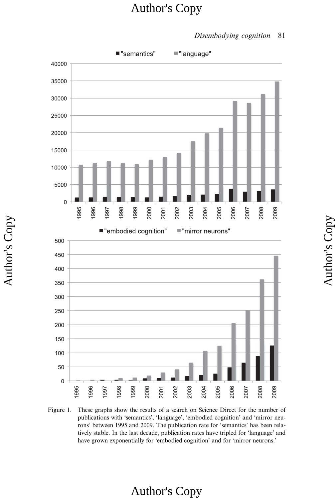#### ■ "semantics" ■ "language"  $\overline{0}$ ■"mirror neurons" ■ "embodied cognition"  $\mathbf 0$

Disembodying cognition 81

Author's Copy

Author's Copy

Figure 1. These graphs show the results of a search on Science Direct for the number of publications with 'semantics', 'language', 'embodied cognition' and 'mirror neurons' between 1995 and 2009. The publication rate for 'semantics' has been relatively stable. In the last decade, publication rates have tripled for 'language' and have grown exponentially for 'embodied cognition' and for 'mirror neurons.'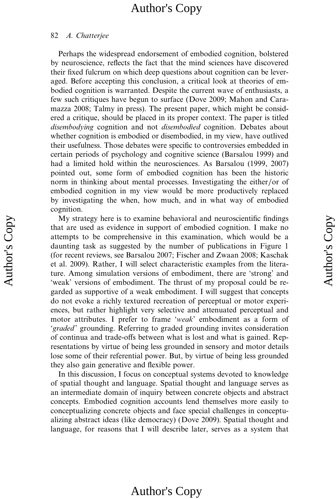#### 82 A. Chatterjee

Perhaps the widespread endorsement of embodied cognition, bolstered by neuroscience, reflects the fact that the mind sciences have discovered their fixed fulcrum on which deep questions about cognition can be leveraged. Before accepting this conclusion, a critical look at theories of embodied cognition is warranted. Despite the current wave of enthusiasts, a few such critiques have begun to surface (Dove 2009; Mahon and Caramazza 2008; Talmy in press). The present paper, which might be considered a critique, should be placed in its proper context. The paper is titled disembodying cognition and not disembodied cognition. Debates about whether cognition is embodied or disembodied, in my view, have outlived their usefulness. Those debates were specific to controversies embedded in certain periods of psychology and cognitive science (Barsalou 1999) and had a limited hold within the neurosciences. As Barsalou (1999, 2007) pointed out, some form of embodied cognition has been the historic norm in thinking about mental processes. Investigating the either/or of embodied cognition in my view would be more productively replaced by investigating the when, how much, and in what way of embodied cognition.

My strategy here is to examine behavioral and neuroscientific findings that are used as evidence in support of embodied cognition. I make no attempts to be comprehensive in this examination, which would be a daunting task as suggested by the number of publications in Figure 1 (for recent reviews, see Barsalou 2007; Fischer and Zwaan 2008; Kaschak et al. 2009). Rather, I will select characteristic examples from the literature. Among simulation versions of embodiment, there are 'strong' and 'weak' versions of embodiment. The thrust of my proposal could be regarded as supportive of a weak embodiment. I will suggest that concepts do not evoke a richly textured recreation of perceptual or motor experiences, but rather highlight very selective and attenuated perceptual and motor attributes. I prefer to frame 'weak' embodiment as a form of 'graded' grounding. Referring to graded grounding invites consideration of continua and trade-offs between what is lost and what is gained. Representations by virtue of being less grounded in sensory and motor details lose some of their referential power. But, by virtue of being less grounded they also gain generative and flexible power.

In this discussion, I focus on conceptual systems devoted to knowledge of spatial thought and language. Spatial thought and language serves as an intermediate domain of inquiry between concrete objects and abstract concepts. Embodied cognition accounts lend themselves more easily to conceptualizing concrete objects and face special challenges in conceptualizing abstract ideas (like democracy) (Dove 2009). Spatial thought and language, for reasons that I will describe later, serves as a system that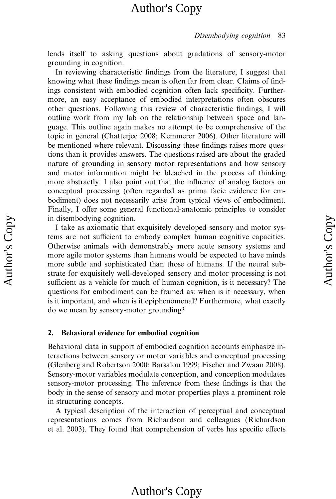#### Disembodying cognition 83

lends itself to asking questions about gradations of sensory-motor grounding in cognition.

In reviewing characteristic findings from the literature, I suggest that knowing what these findings mean is often far from clear. Claims of findings consistent with embodied cognition often lack specificity. Furthermore, an easy acceptance of embodied interpretations often obscures other questions. Following this review of characteristic findings, I will outline work from my lab on the relationship between space and language. This outline again makes no attempt to be comprehensive of the topic in general (Chatterjee 2008; Kemmerer 2006). Other literature will be mentioned where relevant. Discussing these findings raises more questions than it provides answers. The questions raised are about the graded nature of grounding in sensory motor representations and how sensory and motor information might be bleached in the process of thinking more abstractly. I also point out that the influence of analog factors on conceptual processing (often regarded as prima facie evidence for embodiment) does not necessarily arise from typical views of embodiment. Finally, I offer some general functional-anatomic principles to consider in disembodying cognition.

I take as axiomatic that exquisitely developed sensory and motor systems are not sufficient to embody complex human cognitive capacities. Otherwise animals with demonstrably more acute sensory systems and more agile motor systems than humans would be expected to have minds more subtle and sophisticated than those of humans. If the neural substrate for exquisitely well-developed sensory and motor processing is not sufficient as a vehicle for much of human cognition, is it necessary? The questions for embodiment can be framed as: when is it necessary, when is it important, and when is it epiphenomenal? Furthermore, what exactly do we mean by sensory-motor grounding?

### 2. Behavioral evidence for embodied cognition

Behavioral data in support of embodied cognition accounts emphasize interactions between sensory or motor variables and conceptual processing (Glenberg and Robertson 2000; Barsalou 1999; Fischer and Zwaan 2008). Sensory-motor variables modulate conception, and conception modulates sensory-motor processing. The inference from these findings is that the body in the sense of sensory and motor properties plays a prominent role in structuring concepts.

A typical description of the interaction of perceptual and conceptual representations comes from Richardson and colleagues (Richardson et al. 2003). They found that comprehension of verbs has specific effects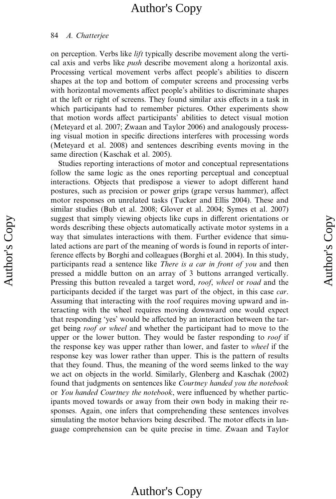#### 84 A. Chatterjee

on perception. Verbs like lift typically describe movement along the vertical axis and verbs like push describe movement along a horizontal axis. Processing vertical movement verbs affect people's abilities to discern shapes at the top and bottom of computer screens and processing verbs with horizontal movements affect people's abilities to discriminate shapes at the left or right of screens. They found similar axis effects in a task in which participants had to remember pictures. Other experiments show that motion words affect participants' abilities to detect visual motion (Meteyard et al. 2007; Zwaan and Taylor 2006) and analogously processing visual motion in specific directions interferes with processing words (Meteyard et al. 2008) and sentences describing events moving in the same direction (Kaschak et al. 2005).

Studies reporting interactions of motor and conceptual representations follow the same logic as the ones reporting perceptual and conceptual interactions. Objects that predispose a viewer to adopt different hand postures, such as precision or power grips (grape versus hammer), affect motor responses on unrelated tasks (Tucker and Ellis 2004). These and similar studies (Bub et al. 2008; Glover et al. 2004; Symes et al. 2007) suggest that simply viewing objects like cups in different orientations or words describing these objects automatically activate motor systems in a way that simulates interactions with them. Further evidence that simulated actions are part of the meaning of words is found in reports of interference effects by Borghi and colleagues (Borghi et al. 2004). In this study, participants read a sentence like There is a car in front of you and then pressed a middle button on an array of 3 buttons arranged vertically. Pressing this button revealed a target word, roof, wheel or road and the participants decided if the target was part of the object, in this case car. Assuming that interacting with the roof requires moving upward and interacting with the wheel requires moving downward one would expect that responding 'yes' would be affected by an interaction between the target being roof or wheel and whether the participant had to move to the upper or the lower button. They would be faster responding to roof if the response key was upper rather than lower, and faster to wheel if the response key was lower rather than upper. This is the pattern of results that they found. Thus, the meaning of the word seems linked to the way we act on objects in the world. Similarly, Glenberg and Kaschak (2002) found that judgments on sentences like Courtney handed you the notebook or You handed Courtney the notebook, were influenced by whether participants moved towards or away from their own body in making their responses. Again, one infers that comprehending these sentences involves simulating the motor behaviors being described. The motor effects in language comprehension can be quite precise in time. Zwaan and Taylor

### Author's Copy

Author's Copy Author's Copy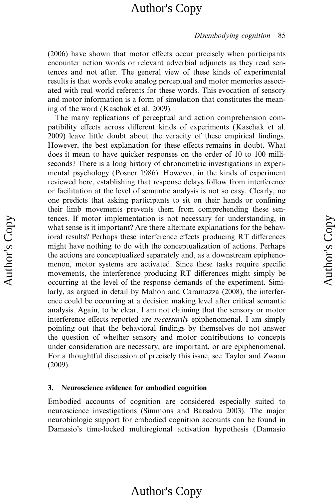#### Disembodying cognition 85

 $(2006)$  have shown that motor effects occur precisely when participants encounter action words or relevant adverbial adjuncts as they read sentences and not after. The general view of these kinds of experimental results is that words evoke analog perceptual and motor memories associated with real world referents for these words. This evocation of sensory and motor information is a form of simulation that constitutes the meaning of the word (Kaschak et al. 2009).

The many replications of perceptual and action comprehension compatibility effects across different kinds of experiments (Kaschak et al. 2009) leave little doubt about the veracity of these empirical findings. However, the best explanation for these effects remains in doubt. What does it mean to have quicker responses on the order of 10 to 100 milliseconds? There is a long history of chronometric investigations in experimental psychology (Posner 1986). However, in the kinds of experiment reviewed here, establishing that response delays follow from interference or facilitation at the level of semantic analysis is not so easy. Clearly, no one predicts that asking participants to sit on their hands or confining their limb movements prevents them from comprehending these sentences. If motor implementation is not necessary for understanding, in what sense is it important? Are there alternate explanations for the behavioral results? Perhaps these interference effects producing RT differences might have nothing to do with the conceptualization of actions. Perhaps the actions are conceptualized separately and, as a downstream epiphenomenon, motor systems are activated. Since these tasks require specific movements, the interference producing RT differences might simply be occurring at the level of the response demands of the experiment. Similarly, as argued in detail by Mahon and Caramazza (2008), the interference could be occurring at a decision making level after critical semantic analysis. Again, to be clear, I am not claiming that the sensory or motor interference effects reported are *necessarily* epiphenomenal. I am simply pointing out that the behavioral findings by themselves do not answer the question of whether sensory and motor contributions to concepts under consideration are necessary, are important, or are epiphenomenal. For a thoughtful discussion of precisely this issue, see Taylor and Zwaan (2009).

### 3. Neuroscience evidence for embodied cognition

Embodied accounts of cognition are considered especially suited to neuroscience investigations (Simmons and Barsalou 2003). The major neurobiologic support for embodied cognition accounts can be found in Damasio's time-locked multiregional activation hypothesis (Damasio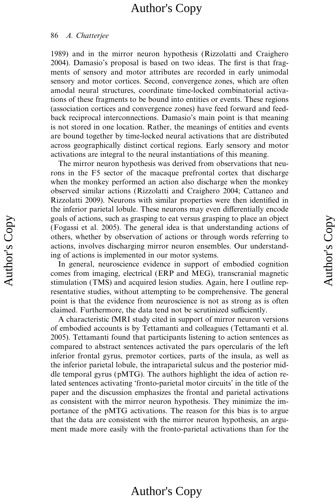### 86 A. Chatterjee

1989) and in the mirror neuron hypothesis (Rizzolatti and Craighero 2004). Damasio's proposal is based on two ideas. The first is that fragments of sensory and motor attributes are recorded in early unimodal sensory and motor cortices. Second, convergence zones, which are often amodal neural structures, coordinate time-locked combinatorial activations of these fragments to be bound into entities or events. These regions (association cortices and convergence zones) have feed forward and feedback reciprocal interconnections. Damasio's main point is that meaning is not stored in one location. Rather, the meanings of entities and events are bound together by time-locked neural activations that are distributed across geographically distinct cortical regions. Early sensory and motor activations are integral to the neural instantiations of this meaning.

The mirror neuron hypothesis was derived from observations that neurons in the F5 sector of the macaque prefrontal cortex that discharge when the monkey performed an action also discharge when the monkey observed similar actions (Rizzolatti and Craighero 2004; Cattaneo and Rizzolatti 2009). Neurons with similar properties were then identified in the inferior parietal lobule. These neurons may even differentially encode goals of actions, such as grasping to eat versus grasping to place an object (Fogassi et al. 2005). The general idea is that understanding actions of others, whether by observation of actions or through words referring to actions, involves discharging mirror neuron ensembles. Our understanding of actions is implemented in our motor systems.

In general, neuroscience evidence in support of embodied cognition comes from imaging, electrical (ERP and MEG), transcranial magnetic stimulation (TMS) and acquired lesion studies. Again, here I outline representative studies, without attempting to be comprehensive. The general point is that the evidence from neuroscience is not as strong as is often claimed. Furthermore, the data tend not be scrutinized sufficiently.

A characteristic fMRI study cited in support of mirror neuron versions of embodied accounts is by Tettamanti and colleagues (Tettamanti et al. 2005). Tettamanti found that participants listening to action sentences as compared to abstract sentences activated the pars opercularis of the left inferior frontal gyrus, premotor cortices, parts of the insula, as well as the inferior parietal lobule, the intraparietal sulcus and the posterior middle temporal gyrus (pMTG). The authors highlight the idea of action related sentences activating 'fronto-parietal motor circuits' in the title of the paper and the discussion emphasizes the frontal and parietal activations as consistent with the mirror neuron hypothesis. They minimize the importance of the pMTG activations. The reason for this bias is to argue that the data are consistent with the mirror neuron hypothesis, an argument made more easily with the fronto-parietal activations than for the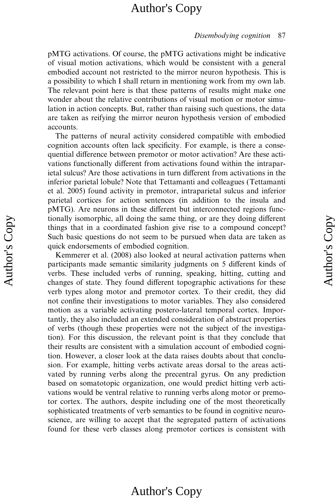#### Disembodying cognition 87

pMTG activations. Of course, the pMTG activations might be indicative of visual motion activations, which would be consistent with a general embodied account not restricted to the mirror neuron hypothesis. This is a possibility to which I shall return in mentioning work from my own lab. The relevant point here is that these patterns of results might make one wonder about the relative contributions of visual motion or motor simulation in action concepts. But, rather than raising such questions, the data are taken as reifying the mirror neuron hypothesis version of embodied accounts.

The patterns of neural activity considered compatible with embodied cognition accounts often lack specificity. For example, is there a consequential difference between premotor or motor activation? Are these activations functionally different from activations found within the intraparietal sulcus? Are those activations in turn different from activations in the inferior parietal lobule? Note that Tettamanti and colleagues (Tettamanti et al. 2005) found activity in premotor, intraparietal sulcus and inferior parietal cortices for action sentences (in addition to the insula and pMTG). Are neurons in these different but interconnected regions functionally isomorphic, all doing the same thing, or are they doing different things that in a coordinated fashion give rise to a compound concept? Such basic questions do not seem to be pursued when data are taken as quick endorsements of embodied cognition.

Kemmerer et al. (2008) also looked at neural activation patterns when participants made semantic similarity judgments on 5 different kinds of verbs. These included verbs of running, speaking, hitting, cutting and changes of state. They found different topographic activations for these verb types along motor and premotor cortex. To their credit, they did not confine their investigations to motor variables. They also considered motion as a variable activating postero-lateral temporal cortex. Importantly, they also included an extended consideration of abstract properties of verbs (though these properties were not the subject of the investigation). For this discussion, the relevant point is that they conclude that their results are consistent with a simulation account of embodied cognition. However, a closer look at the data raises doubts about that conclusion. For example, hitting verbs activate areas dorsal to the areas activated by running verbs along the precentral gyrus. On any prediction based on somatotopic organization, one would predict hitting verb activations would be ventral relative to running verbs along motor or premotor cortex. The authors, despite including one of the most theoretically sophisticated treatments of verb semantics to be found in cognitive neuroscience, are willing to accept that the segregated pattern of activations found for these verb classes along premotor cortices is consistent with

# Author's Copy Author's Copy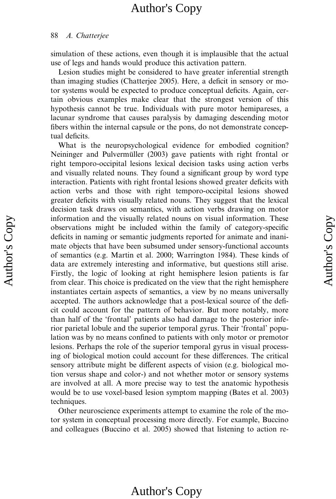### 88 A. Chatterjee

simulation of these actions, even though it is implausible that the actual use of legs and hands would produce this activation pattern.

Lesion studies might be considered to have greater inferential strength than imaging studies (Chatterjee 2005). Here, a deficit in sensory or motor systems would be expected to produce conceptual deficits. Again, certain obvious examples make clear that the strongest version of this hypothesis cannot be true. Individuals with pure motor hemipareses, a lacunar syndrome that causes paralysis by damaging descending motor fibers within the internal capsule or the pons, do not demonstrate conceptual deficits.

What is the neuropsychological evidence for embodied cognition? Neininger and Pulvermüller (2003) gave patients with right frontal or right temporo-occipital lesions lexical decision tasks using action verbs and visually related nouns. They found a significant group by word type interaction. Patients with right frontal lesions showed greater deficits with action verbs and those with right temporo-occipital lesions showed greater deficits with visually related nouns. They suggest that the lexical decision task draws on semantics, with action verbs drawing on motor information and the visually related nouns on visual information. These observations might be included within the family of category-specific deficits in naming or semantic judgments reported for animate and inanimate objects that have been subsumed under sensory-functional accounts of semantics (e.g. Martin et al. 2000; Warrington 1984). These kinds of data are extremely interesting and informative, but questions still arise. Firstly, the logic of looking at right hemisphere lesion patients is far from clear. This choice is predicated on the view that the right hemisphere instantiates certain aspects of semantics, a view by no means universally accepted. The authors acknowledge that a post-lexical source of the deficit could account for the pattern of behavior. But more notably, more than half of the 'frontal' patients also had damage to the posterior inferior parietal lobule and the superior temporal gyrus. Their 'frontal' population was by no means confined to patients with only motor or premotor lesions. Perhaps the role of the superior temporal gyrus in visual processing of biological motion could account for these differences. The critical sensory attribute might be different aspects of vision (e.g. biological motion versus shape and color-) and not whether motor or sensory systems are involved at all. A more precise way to test the anatomic hypothesis would be to use voxel-based lesion symptom mapping (Bates et al. 2003) techniques.

Other neuroscience experiments attempt to examine the role of the motor system in conceptual processing more directly. For example, Buccino and colleagues (Buccino et al. 2005) showed that listening to action re-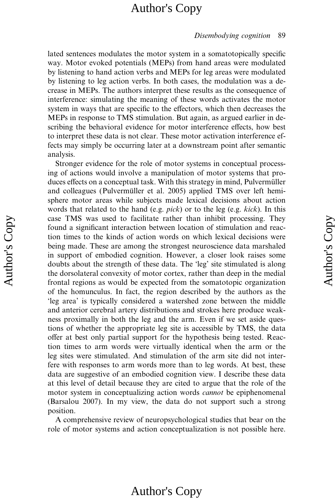#### Disembodying cognition 89

lated sentences modulates the motor system in a somatotopically specific way. Motor evoked potentials (MEPs) from hand areas were modulated by listening to hand action verbs and MEPs for leg areas were modulated by listening to leg action verbs. In both cases, the modulation was a decrease in MEPs. The authors interpret these results as the consequence of interference: simulating the meaning of these words activates the motor system in ways that are specific to the effectors, which then decreases the MEPs in response to TMS stimulation. But again, as argued earlier in describing the behavioral evidence for motor interference effects, how best to interpret these data is not clear. These motor activation interference effects may simply be occurring later at a downstream point after semantic analysis.

Stronger evidence for the role of motor systems in conceptual processing of actions would involve a manipulation of motor systems that produces effects on a conceptual task. With this strategy in mind, Pulvermüller and colleagues (Pulvermüller et al. 2005) applied TMS over left hemisphere motor areas while subjects made lexical decisions about action words that related to the hand (e.g. pick) or to the leg (e.g. kick). In this case TMS was used to facilitate rather than inhibit processing. They found a significant interaction between location of stimulation and reaction times to the kinds of action words on which lexical decisions were being made. These are among the strongest neuroscience data marshaled in support of embodied cognition. However, a closer look raises some doubts about the strength of these data. The 'leg' site stimulated is along the dorsolateral convexity of motor cortex, rather than deep in the medial frontal regions as would be expected from the somatotopic organization of the homunculus. In fact, the region described by the authors as the 'leg area' is typically considered a watershed zone between the middle and anterior cerebral artery distributions and strokes here produce weakness proximally in both the leg and the arm. Even if we set aside questions of whether the appropriate leg site is accessible by TMS, the data offer at best only partial support for the hypothesis being tested. Reaction times to arm words were virtually identical when the arm or the leg sites were stimulated. And stimulation of the arm site did not interfere with responses to arm words more than to leg words. At best, these data are suggestive of an embodied cognition view. I describe these data at this level of detail because they are cited to argue that the role of the motor system in conceptualizing action words *cannot* be epiphenomenal (Barsalou 2007). In my view, the data do not support such a strong position.

A comprehensive review of neuropsychological studies that bear on the role of motor systems and action conceptualization is not possible here.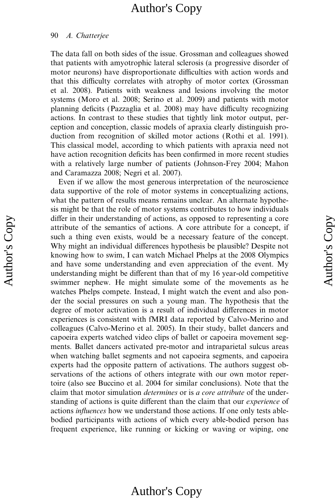### 90 A. Chatterjee

The data fall on both sides of the issue. Grossman and colleagues showed that patients with amyotrophic lateral sclerosis (a progressive disorder of motor neurons) have disproportionate difficulties with action words and that this difficulty correlates with atrophy of motor cortex (Grossman et al. 2008). Patients with weakness and lesions involving the motor systems (Moro et al. 2008; Serino et al. 2009) and patients with motor planning deficits (Pazzaglia et al. 2008) may have difficulty recognizing actions. In contrast to these studies that tightly link motor output, perception and conception, classic models of apraxia clearly distinguish production from recognition of skilled motor actions (Rothi et al. 1991). This classical model, according to which patients with apraxia need not have action recognition deficits has been confirmed in more recent studies with a relatively large number of patients (Johnson-Frey 2004; Mahon and Caramazza 2008; Negri et al. 2007).

Even if we allow the most generous interpretation of the neuroscience data supportive of the role of motor systems in conceptualizing actions, what the pattern of results means remains unclear. An alternate hypothesis might be that the role of motor systems contributes to how individuals differ in their understanding of actions, as opposed to representing a core attribute of the semantics of actions. A core attribute for a concept, if such a thing even exists, would be a necessary feature of the concept. Why might an individual differences hypothesis be plausible? Despite not knowing how to swim, I can watch Michael Phelps at the 2008 Olympics and have some understanding and even appreciation of the event. My understanding might be different than that of my 16 year-old competitive swimmer nephew. He might simulate some of the movements as he watches Phelps compete. Instead, I might watch the event and also ponder the social pressures on such a young man. The hypothesis that the degree of motor activation is a result of individual differences in motor experiences is consistent with fMRI data reported by Calvo-Merino and colleagues (Calvo-Merino et al. 2005). In their study, ballet dancers and capoeira experts watched video clips of ballet or capoeira movement segments. Ballet dancers activated pre-motor and intraparietal sulcus areas when watching ballet segments and not capoeira segments, and capoeira experts had the opposite pattern of activations. The authors suggest observations of the actions of others integrate with our own motor repertoire (also see Buccino et al. 2004 for similar conclusions). Note that the claim that motor simulation determines or is a core attribute of the understanding of actions is quite different than the claim that our *experience* of actions influences how we understand those actions. If one only tests ablebodied participants with actions of which every able-bodied person has frequent experience, like running or kicking or waving or wiping, one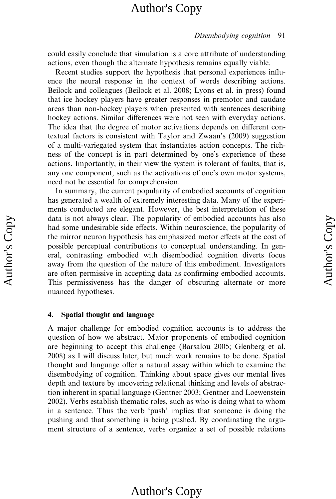#### Disembodying cognition 91

could easily conclude that simulation is a core attribute of understanding actions, even though the alternate hypothesis remains equally viable.

Recent studies support the hypothesis that personal experiences influence the neural response in the context of words describing actions. Beilock and colleagues (Beilock et al. 2008; Lyons et al. in press) found that ice hockey players have greater responses in premotor and caudate areas than non-hockey players when presented with sentences describing hockey actions. Similar differences were not seen with everyday actions. The idea that the degree of motor activations depends on different contextual factors is consistent with Taylor and Zwaan's (2009) suggestion of a multi-variegated system that instantiates action concepts. The richness of the concept is in part determined by one's experience of these actions. Importantly, in their view the system is tolerant of faults, that is, any one component, such as the activations of one's own motor systems, need not be essential for comprehension.

In summary, the current popularity of embodied accounts of cognition has generated a wealth of extremely interesting data. Many of the experiments conducted are elegant. However, the best interpretation of these data is not always clear. The popularity of embodied accounts has also had some undesirable side effects. Within neuroscience, the popularity of the mirror neuron hypothesis has emphasized motor effects at the cost of possible perceptual contributions to conceptual understanding. In general, contrasting embodied with disembodied cognition diverts focus away from the question of the nature of this embodiment. Investigators are often permissive in accepting data as confirming embodied accounts. This permissiveness has the danger of obscuring alternate or more nuanced hypotheses.

### 4. Spatial thought and language

A major challenge for embodied cognition accounts is to address the question of how we abstract. Major proponents of embodied cognition are beginning to accept this challenge (Barsalou 2005; Glenberg et al. 2008) as I will discuss later, but much work remains to be done. Spatial thought and language offer a natural assay within which to examine the disembodying of cognition. Thinking about space gives our mental lives depth and texture by uncovering relational thinking and levels of abstraction inherent in spatial language (Gentner 2003; Gentner and Loewenstein 2002). Verbs establish thematic roles, such as who is doing what to whom in a sentence. Thus the verb 'push' implies that someone is doing the pushing and that something is being pushed. By coordinating the argument structure of a sentence, verbs organize a set of possible relations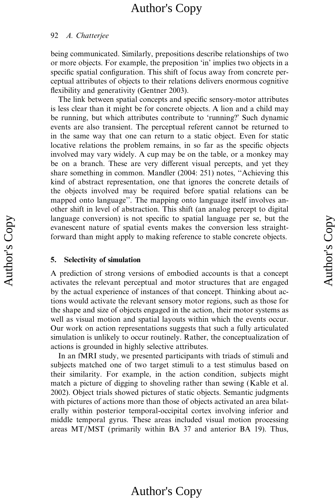### 92 A. Chatterjee

being communicated. Similarly, prepositions describe relationships of two or more objects. For example, the preposition 'in' implies two objects in a specific spatial configuration. This shift of focus away from concrete perceptual attributes of objects to their relations delivers enormous cognitive flexibility and generativity (Gentner 2003).

The link between spatial concepts and specific sensory-motor attributes is less clear than it might be for concrete objects. A lion and a child may be running, but which attributes contribute to 'running?' Such dynamic events are also transient. The perceptual referent cannot be returned to in the same way that one can return to a static object. Even for static locative relations the problem remains, in so far as the specific objects involved may vary widely. A cup may be on the table, or a monkey may be on a branch. These are very different visual percepts, and yet they share something in common. Mandler (2004: 251) notes, ''Achieving this kind of abstract representation, one that ignores the concrete details of the objects involved may be required before spatial relations can be mapped onto language''. The mapping onto language itself involves another shift in level of abstraction. This shift (an analog percept to digital language conversion) is not specific to spatial language per se, but the evanescent nature of spatial events makes the conversion less straightforward than might apply to making reference to stable concrete objects.

### 5. Selectivity of simulation

A prediction of strong versions of embodied accounts is that a concept activates the relevant perceptual and motor structures that are engaged by the actual experience of instances of that concept. Thinking about actions would activate the relevant sensory motor regions, such as those for the shape and size of objects engaged in the action, their motor systems as well as visual motion and spatial layouts within which the events occur. Our work on action representations suggests that such a fully articulated simulation is unlikely to occur routinely. Rather, the conceptualization of actions is grounded in highly selective attributes.

In an fMRI study, we presented participants with triads of stimuli and subjects matched one of two target stimuli to a test stimulus based on their similarity. For example, in the action condition, subjects might match a picture of digging to shoveling rather than sewing (Kable et al. 2002). Object trials showed pictures of static objects. Semantic judgments with pictures of actions more than those of objects activated an area bilaterally within posterior temporal-occipital cortex involving inferior and middle temporal gyrus. These areas included visual motion processing areas MT/MST (primarily within BA 37 and anterior BA 19). Thus,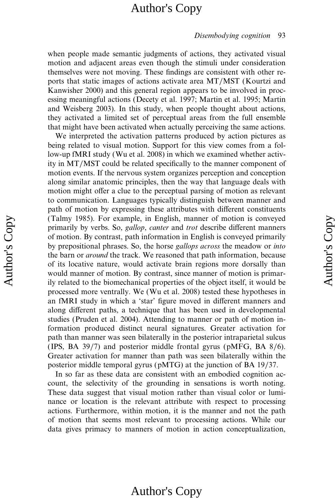#### Disembodying cognition 93

when people made semantic judgments of actions, they activated visual motion and adjacent areas even though the stimuli under consideration themselves were not moving. These findings are consistent with other reports that static images of actions activate area MT/MST (Kourtzi and Kanwisher 2000) and this general region appears to be involved in processing meaningful actions (Decety et al. 1997; Martin et al. 1995; Martin and Weisberg 2003). In this study, when people thought about actions, they activated a limited set of perceptual areas from the full ensemble that might have been activated when actually perceiving the same actions.

We interpreted the activation patterns produced by action pictures as being related to visual motion. Support for this view comes from a follow-up fMRI study (Wu et al. 2008) in which we examined whether activity in MT/MST could be related specifically to the manner component of motion events. If the nervous system organizes perception and conception along similar anatomic principles, then the way that language deals with motion might offer a clue to the perceptual parsing of motion as relevant to communication. Languages typically distinguish between manner and path of motion by expressing these attributes with different constituents (Talmy 1985). For example, in English, manner of motion is conveyed primarily by verbs. So, gallop, canter and trot describe different manners of motion. By contrast, path information in English is conveyed primarily by prepositional phrases. So, the horse gallops across the meadow or into the barn or around the track. We reasoned that path information, because of its locative nature, would activate brain regions more dorsally than would manner of motion. By contrast, since manner of motion is primarily related to the biomechanical properties of the object itself, it would be processed more ventrally. We (Wu et al. 2008) tested these hypotheses in an fMRI study in which a 'star' figure moved in different manners and along different paths, a technique that has been used in developmental studies (Pruden et al. 2004). Attending to manner or path of motion information produced distinct neural signatures. Greater activation for path than manner was seen bilaterally in the posterior intraparietal sulcus (IPS, BA 39/7) and posterior middle frontal gyrus (pMFG, BA 8/6). Greater activation for manner than path was seen bilaterally within the posterior middle temporal gyrus (pMTG) at the junction of BA 19/37.

In so far as these data are consistent with an embodied cognition account, the selectivity of the grounding in sensations is worth noting. These data suggest that visual motion rather than visual color or luminance or location is the relevant attribute with respect to processing actions. Furthermore, within motion, it is the manner and not the path of motion that seems most relevant to processing actions. While our data gives primacy to manners of motion in action conceptualization,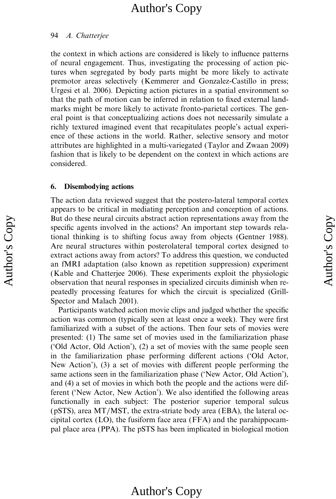#### 94 A. Chatterjee

the context in which actions are considered is likely to influence patterns of neural engagement. Thus, investigating the processing of action pictures when segregated by body parts might be more likely to activate premotor areas selectively (Kemmerer and Gonzalez-Castillo in press; Urgesi et al. 2006). Depicting action pictures in a spatial environment so that the path of motion can be inferred in relation to fixed external landmarks might be more likely to activate fronto-parietal cortices. The general point is that conceptualizing actions does not necessarily simulate a richly textured imagined event that recapitulates people's actual experience of these actions in the world. Rather, selective sensory and motor attributes are highlighted in a multi-variegated (Taylor and Zwaan 2009) fashion that is likely to be dependent on the context in which actions are considered.

### 6. Disembodying actions

The action data reviewed suggest that the postero-lateral temporal cortex appears to be critical in mediating perception and conception of actions. But do these neural circuits abstract action representations away from the specific agents involved in the actions? An important step towards relational thinking is to shifting focus away from objects (Gentner 1988). Are neural structures within posterolateral temporal cortex designed to extract actions away from actors? To address this question, we conducted an fMRI adaptation (also known as repetition suppression) experiment (Kable and Chatterjee 2006). These experiments exploit the physiologic observation that neural responses in specialized circuits diminish when repeatedly processing features for which the circuit is specialized (Grill-Spector and Malach 2001).

Participants watched action movie clips and judged whether the specific action was common (typically seen at least once a week). They were first familiarized with a subset of the actions. Then four sets of movies were presented: (1) The same set of movies used in the familiarization phase ('Old Actor, Old Action'), (2) a set of movies with the same people seen in the familiarization phase performing different actions ('Old Actor, New Action'), (3) a set of movies with different people performing the same actions seen in the familiarization phase ('New Actor, Old Action'), and (4) a set of movies in which both the people and the actions were different ('New Actor, New Action'). We also identified the following areas functionally in each subject: The posterior superior temporal sulcus (pSTS), area MT/MST, the extra-striate body area (EBA), the lateral occipital cortex (LO), the fusiform face area (FFA) and the parahippocampal place area (PPA). The pSTS has been implicated in biological motion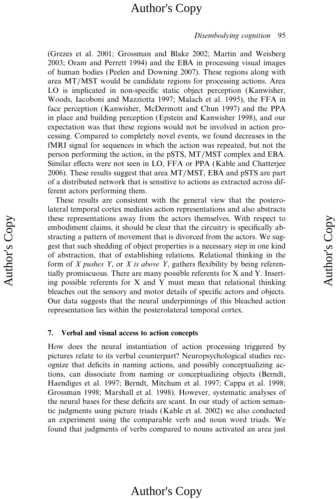#### Disembodying cognition 95

(Grezes et al. 2001; Grossman and Blake 2002; Martin and Weisberg 2003; Oram and Perrett 1994) and the EBA in processing visual images of human bodies (Peelen and Downing 2007). These regions along with area MT/MST would be candidate regions for processing actions. Area LO is implicated in non-specific static object perception (Kanwisher, Woods, Iacoboni and Mazziotta 1997; Malach et al. 1995), the FFA in face perception (Kanwisher, McDermott and Chun 1997) and the PPA in place and building perception (Epstein and Kanwisher 1998), and our expectation was that these regions would not be involved in action processing. Compared to completely novel events, we found decreases in the fMRI signal for sequences in which the action was repeated, but not the person performing the action, in the pSTS, MT/MST complex and EBA. Similar effects were not seen in LO, FFA or PPA (Kable and Chatterjee 2006). These results suggest that area MT/MST, EBA and pSTS are part of a distributed network that is sensitive to actions as extracted across different actors performing them.

These results are consistent with the general view that the posterolateral temporal cortex mediates action representations and also abstracts these representations away from the actors themselves. With respect to embodiment claims, it should be clear that the circuitry is specifically abstracting a pattern of movement that is divorced from the actors. We suggest that such shedding of object properties is a necessary step in one kind of abstraction, that of establishing relations. Relational thinking in the form of X pushes Y, or X is above Y, gathers flexibility by being referentially promiscuous. There are many possible referents for X and Y. Inserting possible referents for X and Y must mean that relational thinking bleaches out the sensory and motor details of specific actors and objects. Our data suggests that the neural underpinnings of this bleached action representation lies within the posterolateral temporal cortex.

### 7. Verbal and visual access to action concepts

How does the neural instantiation of action processing triggered by pictures relate to its verbal counterpart? Neuropsychological studies recognize that deficits in naming actions, and possibly conceptualizing actions, can dissociate from naming or conceptualizing objects (Berndt, Haendiges et al. 1997; Berndt, Mitchum et al. 1997; Cappa et al. 1998; Grossman 1998; Marshall et al. 1998). However, systematic analyses of the neural bases for these deficits are scant. In our study of action semantic judgments using picture triads (Kable et al. 2002) we also conducted an experiment using the comparable verb and noun word triads. We found that judgments of verbs compared to nouns activated an area just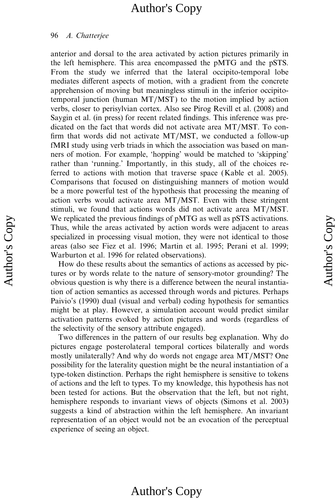#### 96 A. Chatterjee

anterior and dorsal to the area activated by action pictures primarily in the left hemisphere. This area encompassed the pMTG and the pSTS. From the study we inferred that the lateral occipito-temporal lobe mediates different aspects of motion, with a gradient from the concrete apprehension of moving but meaningless stimuli in the inferior occipitotemporal junction (human MT/MST) to the motion implied by action verbs, closer to perisylvian cortex. Also see Pirog Revill et al. (2008) and Saygin et al. (in press) for recent related findings. This inference was predicated on the fact that words did not activate area MT/MST. To confirm that words did not activate MT/MST, we conducted a follow-up fMRI study using verb triads in which the association was based on manners of motion. For example, 'hopping' would be matched to 'skipping' rather than 'running.' Importantly, in this study, all of the choices referred to actions with motion that traverse space (Kable et al. 2005). Comparisons that focused on distinguishing manners of motion would be a more powerful test of the hypothesis that processing the meaning of action verbs would activate area MT/MST. Even with these stringent stimuli, we found that actions words did not activate area MT/MST. We replicated the previous findings of pMTG as well as pSTS activations. Thus, while the areas activated by action words were adjacent to areas specialized in processing visual motion, they were not identical to those areas (also see Fiez et al. 1996; Martin et al. 1995; Perani et al. 1999; Warburton et al. 1996 for related observations).

How do these results about the semantics of actions as accessed by pictures or by words relate to the nature of sensory-motor grounding? The obvious question is why there is a difference between the neural instantiation of action semantics as accessed through words and pictures. Perhaps Paivio's (1990) dual (visual and verbal) coding hypothesis for semantics might be at play. However, a simulation account would predict similar activation patterns evoked by action pictures and words (regardless of the selectivity of the sensory attribute engaged).

Two differences in the pattern of our results beg explanation. Why do pictures engage posterolateral temporal cortices bilaterally and words mostly unilaterally? And why do words not engage area MT/MST? One possibility for the laterality question might be the neural instantiation of a type-token distinction. Perhaps the right hemisphere is sensitive to tokens of actions and the left to types. To my knowledge, this hypothesis has not been tested for actions. But the observation that the left, but not right, hemisphere responds to invariant views of objects (Simons et al. 2003) suggests a kind of abstraction within the left hemisphere. An invariant representation of an object would not be an evocation of the perceptual experience of seeing an object.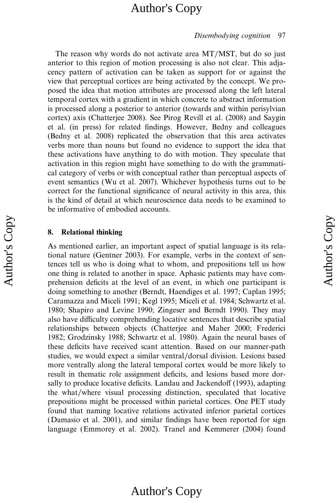#### Disembodying cognition 97

The reason why words do not activate area MT/MST, but do so just anterior to this region of motion processing is also not clear. This adjacency pattern of activation can be taken as support for or against the view that perceptual cortices are being activated by the concept. We proposed the idea that motion attributes are processed along the left lateral temporal cortex with a gradient in which concrete to abstract information is processed along a posterior to anterior (towards and within perisylvian cortex) axis (Chatterjee 2008). See Pirog Revill et al. (2008) and Saygin et al. (in press) for related findings. However, Bedny and colleagues (Bedny et al. 2008) replicated the observation that this area activates verbs more than nouns but found no evidence to support the idea that these activations have anything to do with motion. They speculate that activation in this region might have something to do with the grammatical category of verbs or with conceptual rather than perceptual aspects of event semantics (Wu et al. 2007). Whichever hypothesis turns out to be correct for the functional significance of neural activity in this area, this is the kind of detail at which neuroscience data needs to be examined to be informative of embodied accounts.

### 8. Relational thinking

As mentioned earlier, an important aspect of spatial language is its relational nature (Gentner 2003). For example, verbs in the context of sentences tell us who is doing what to whom, and prepositions tell us how one thing is related to another in space. Aphasic patients may have comprehension deficits at the level of an event, in which one participant is doing something to another (Berndt, Haendiges et al. 1997; Caplan 1995; Caramazza and Miceli 1991; Kegl 1995; Miceli et al. 1984; Schwartz et al. 1980; Shapiro and Levine 1990; Zingeser and Berndt 1990). They may also have difficulty comprehending locative sentences that describe spatial relationships between objects (Chatterjee and Maher 2000; Frederici 1982; Grodzinsky 1988; Schwartz et al. 1980). Again the neural bases of these deficits have received scant attention. Based on our manner-path studies, we would expect a similar ventral/dorsal division. Lesions based more ventrally along the lateral temporal cortex would be more likely to result in thematic role assignment deficits, and lesions based more dorsally to produce locative deficits. Landau and Jackendoff (1993), adapting the what/where visual processing distinction, speculated that locative prepositions might be processed within parietal cortices. One PET study found that naming locative relations activated inferior parietal cortices (Damasio et al. 2001), and similar findings have been reported for sign language (Emmorey et al. 2002). Tranel and Kemmerer (2004) found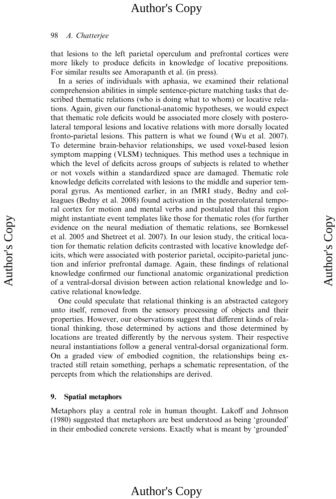#### 98 A. Chatterjee

that lesions to the left parietal operculum and prefrontal cortices were more likely to produce deficits in knowledge of locative prepositions. For similar results see Amorapanth et al. (in press).

In a series of individuals with aphasia, we examined their relational comprehension abilities in simple sentence-picture matching tasks that described thematic relations (who is doing what to whom) or locative relations. Again, given our functional-anatomic hypotheses, we would expect that thematic role deficits would be associated more closely with posterolateral temporal lesions and locative relations with more dorsally located fronto-parietal lesions. This pattern is what we found (Wu et al. 2007). To determine brain-behavior relationships, we used voxel-based lesion symptom mapping (VLSM) techniques. This method uses a technique in which the level of deficits across groups of subjects is related to whether or not voxels within a standardized space are damaged. Thematic role knowledge deficits correlated with lesions to the middle and superior temporal gyrus. As mentioned earlier, in an fMRI study, Bedny and colleagues (Bedny et al. 2008) found activation in the posterolateral temporal cortex for motion and mental verbs and postulated that this region might instantiate event templates like those for thematic roles (for further evidence on the neural mediation of thematic relations, see Bornkessel et al. 2005 and Shetreet et al. 2007). In our lesion study, the critical location for thematic relation deficits contrasted with locative knowledge deficits, which were associated with posterior parietal, occipito-parietal junction and inferior prefrontal damage. Again, these findings of relational knowledge confirmed our functional anatomic organizational prediction of a ventral-dorsal division between action relational knowledge and locative relational knowledge.

One could speculate that relational thinking is an abstracted category unto itself, removed from the sensory processing of objects and their properties. However, our observations suggest that different kinds of relational thinking, those determined by actions and those determined by locations are treated differently by the nervous system. Their respective neural instantiations follow a general ventral-dorsal organizational form. On a graded view of embodied cognition, the relationships being extracted still retain something, perhaps a schematic representation, of the percepts from which the relationships are derived.

### 9. Spatial metaphors

Metaphors play a central role in human thought. Lakoff and Johnson (1980) suggested that metaphors are best understood as being 'grounded' in their embodied concrete versions. Exactly what is meant by 'grounded'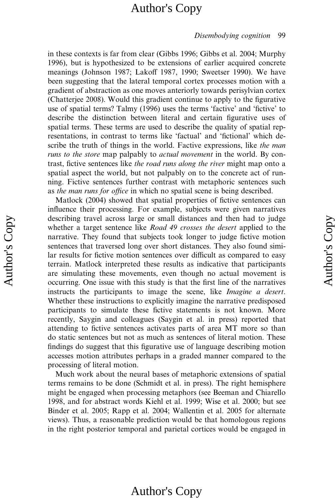#### Disembodying cognition 99

in these contexts is far from clear (Gibbs 1996; Gibbs et al. 2004; Murphy 1996), but is hypothesized to be extensions of earlier acquired concrete meanings (Johnson 1987; Lakoff 1987, 1990; Sweetser 1990). We have been suggesting that the lateral temporal cortex processes motion with a gradient of abstraction as one moves anteriorly towards perisylvian cortex (Chatterjee 2008). Would this gradient continue to apply to the figurative use of spatial terms? Talmy (1996) uses the terms 'factive' and 'fictive' to describe the distinction between literal and certain figurative uses of spatial terms. These terms are used to describe the quality of spatial representations, in contrast to terms like 'factual' and 'fictional' which describe the truth of things in the world. Factive expressions, like the man runs to the store map palpably to *actual movement* in the world. By contrast, fictive sentences like the road runs along the river might map onto a spatial aspect the world, but not palpably on to the concrete act of running. Fictive sentences further contrast with metaphoric sentences such as the man runs for office in which no spatial scene is being described.

Matlock (2004) showed that spatial properties of fictive sentences can influence their processing. For example, subjects were given narratives describing travel across large or small distances and then had to judge whether a target sentence like Road 49 crosses the desert applied to the narrative. They found that subjects took longer to judge fictive motion sentences that traversed long over short distances. They also found similar results for fictive motion sentences over difficult as compared to easy terrain. Matlock interpreted these results as indicative that participants are simulating these movements, even though no actual movement is occurring. One issue with this study is that the first line of the narratives instructs the participants to image the scene, like Imagine a desert. Whether these instructions to explicitly imagine the narrative predisposed participants to simulate these fictive statements is not known. More recently, Saygin and colleagues (Saygin et al. in press) reported that attending to fictive sentences activates parts of area MT more so than do static sentences but not as much as sentences of literal motion. These findings do suggest that this figurative use of language describing motion accesses motion attributes perhaps in a graded manner compared to the processing of literal motion.

Much work about the neural bases of metaphoric extensions of spatial terms remains to be done (Schmidt et al. in press). The right hemisphere might be engaged when processing metaphors (see Beeman and Chiarello 1998, and for abstract words Kiehl et al. 1999; Wise et al. 2000; but see Binder et al. 2005; Rapp et al. 2004; Wallentin et al. 2005 for alternate views). Thus, a reasonable prediction would be that homologous regions in the right posterior temporal and parietal cortices would be engaged in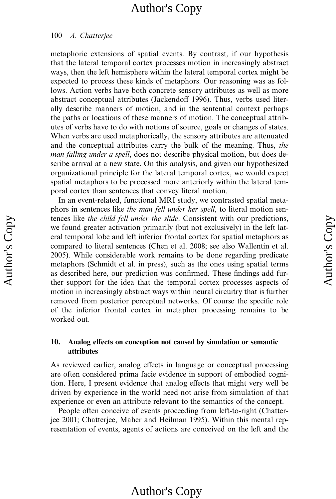#### 100 A. Chatterjee

metaphoric extensions of spatial events. By contrast, if our hypothesis that the lateral temporal cortex processes motion in increasingly abstract ways, then the left hemisphere within the lateral temporal cortex might be expected to process these kinds of metaphors. Our reasoning was as follows. Action verbs have both concrete sensory attributes as well as more abstract conceptual attributes (Jackendoff 1996). Thus, verbs used literally describe manners of motion, and in the sentential context perhaps the paths or locations of these manners of motion. The conceptual attributes of verbs have to do with notions of source, goals or changes of states. When verbs are used metaphorically, the sensory attributes are attenuated and the conceptual attributes carry the bulk of the meaning. Thus, the man falling under a spell, does not describe physical motion, but does describe arrival at a new state. On this analysis, and given our hypothesized organizational principle for the lateral temporal cortex, we would expect spatial metaphors to be processed more anteriorly within the lateral temporal cortex than sentences that convey literal motion.

In an event-related, functional MRI study, we contrasted spatial metaphors in sentences like the man fell under her spell, to literal motion sentences like the child fell under the slide. Consistent with our predictions, we found greater activation primarily (but not exclusively) in the left lateral temporal lobe and left inferior frontal cortex for spatial metaphors as compared to literal sentences (Chen et al. 2008; see also Wallentin et al. 2005). While considerable work remains to be done regarding predicate metaphors (Schmidt et al. in press), such as the ones using spatial terms as described here, our prediction was confirmed. These findings add further support for the idea that the temporal cortex processes aspects of motion in increasingly abstract ways within neural circuitry that is further removed from posterior perceptual networks. Of course the specific role of the inferior frontal cortex in metaphor processing remains to be worked out.

### 10. Analog effects on conception not caused by simulation or semantic attributes

As reviewed earlier, analog effects in language or conceptual processing are often considered prima facie evidence in support of embodied cognition. Here, I present evidence that analog effects that might very well be driven by experience in the world need not arise from simulation of that experience or even an attribute relevant to the semantics of the concept.

People often conceive of events proceeding from left-to-right (Chatterjee 2001; Chatterjee, Maher and Heilman 1995). Within this mental representation of events, agents of actions are conceived on the left and the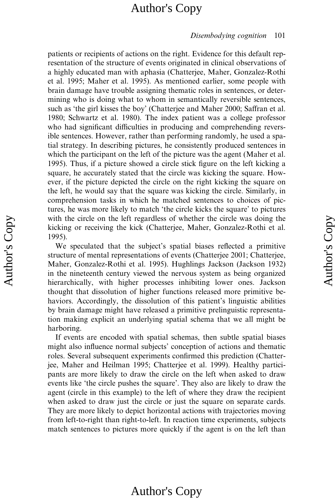#### Disembodying cognition 101

patients or recipients of actions on the right. Evidence for this default representation of the structure of events originated in clinical observations of a highly educated man with aphasia (Chatterjee, Maher, Gonzalez-Rothi et al. 1995; Maher et al. 1995). As mentioned earlier, some people with brain damage have trouble assigning thematic roles in sentences, or determining who is doing what to whom in semantically reversible sentences, such as 'the girl kisses the boy' (Chatterjee and Maher 2000; Saffran et al. 1980; Schwartz et al. 1980). The index patient was a college professor who had significant difficulties in producing and comprehending reversible sentences. However, rather than performing randomly, he used a spatial strategy. In describing pictures, he consistently produced sentences in which the participant on the left of the picture was the agent (Maher et al. 1995). Thus, if a picture showed a circle stick figure on the left kicking a square, he accurately stated that the circle was kicking the square. However, if the picture depicted the circle on the right kicking the square on the left, he would say that the square was kicking the circle. Similarly, in comprehension tasks in which he matched sentences to choices of pictures, he was more likely to match 'the circle kicks the square' to pictures with the circle on the left regardless of whether the circle was doing the kicking or receiving the kick (Chatterjee, Maher, Gonzalez-Rothi et al. 1995).

We speculated that the subject's spatial biases reflected a primitive structure of mental representations of events (Chatteriee 2001; Chatterjee, Maher, Gonzalez-Rothi et al. 1995). Hughlings Jackson (Jackson 1932) in the nineteenth century viewed the nervous system as being organized hierarchically, with higher processes inhibiting lower ones. Jackson thought that dissolution of higher functions released more primitive behaviors. Accordingly, the dissolution of this patient's linguistic abilities by brain damage might have released a primitive prelinguistic representation making explicit an underlying spatial schema that we all might be harboring.

If events are encoded with spatial schemas, then subtle spatial biases might also influence normal subjects' conception of actions and thematic roles. Several subsequent experiments confirmed this prediction (Chatterjee, Maher and Heilman 1995; Chatterjee et al. 1999). Healthy participants are more likely to draw the circle on the left when asked to draw events like 'the circle pushes the square'. They also are likely to draw the agent (circle in this example) to the left of where they draw the recipient when asked to draw just the circle or just the square on separate cards. They are more likely to depict horizontal actions with trajectories moving from left-to-right than right-to-left. In reaction time experiments, subjects match sentences to pictures more quickly if the agent is on the left than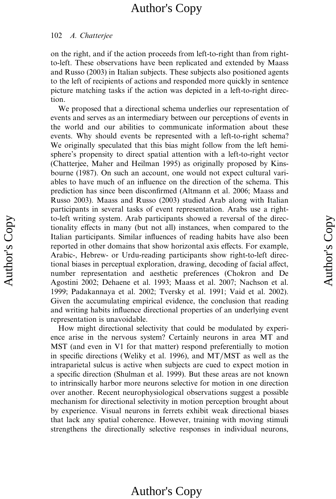#### 102 A. Chatterjee

on the right, and if the action proceeds from left-to-right than from rightto-left. These observations have been replicated and extended by Maass and Russo (2003) in Italian subjects. These subjects also positioned agents to the left of recipients of actions and responded more quickly in sentence picture matching tasks if the action was depicted in a left-to-right direction.

We proposed that a directional schema underlies our representation of events and serves as an intermediary between our perceptions of events in the world and our abilities to communicate information about these events. Why should events be represented with a left-to-right schema? We originally speculated that this bias might follow from the left hemisphere's propensity to direct spatial attention with a left-to-right vector (Chatterjee, Maher and Heilman 1995) as originally proposed by Kinsbourne (1987). On such an account, one would not expect cultural variables to have much of an influence on the direction of the schema. This prediction has since been disconfirmed (Altmann et al. 2006; Maass and Russo 2003). Maass and Russo (2003) studied Arab along with Italian participants in several tasks of event representation. Arabs use a rightto-left writing system. Arab participants showed a reversal of the directionality effects in many (but not all) instances, when compared to the Italian participants. Similar influences of reading habits have also been reported in other domains that show horizontal axis effects. For example, Arabic-, Hebrew- or Urdu-reading participants show right-to-left directional biases in perceptual exploration, drawing, decoding of facial affect, number representation and aesthetic preferences (Chokron and De Agostini 2002; Dehaene et al. 1993; Maass et al. 2007; Nachson et al. 1999; Padakannaya et al. 2002; Tversky et al. 1991; Vaid et al. 2002). Given the accumulating empirical evidence, the conclusion that reading and writing habits influence directional properties of an underlying event representation is unavoidable.

How might directional selectivity that could be modulated by experience arise in the nervous system? Certainly neurons in area MT and MST (and even in V1 for that matter) respond preferentially to motion in specific directions (Weliky et al. 1996), and MT/MST as well as the intraparietal sulcus is active when subjects are cued to expect motion in a specific direction (Shulman et al. 1999). But these areas are not known to intrinsically harbor more neurons selective for motion in one direction over another. Recent neurophysiological observations suggest a possible mechanism for directional selectivity in motion perception brought about by experience. Visual neurons in ferrets exhibit weak directional biases that lack any spatial coherence. However, training with moving stimuli strengthens the directionally selective responses in individual neurons,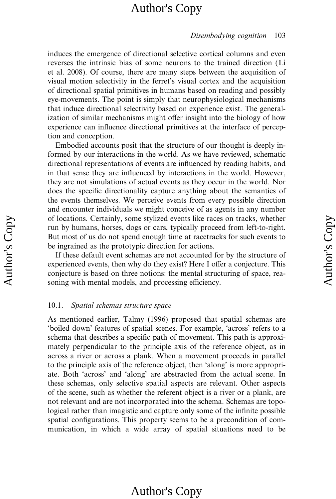#### Disembodying cognition 103

induces the emergence of directional selective cortical columns and even reverses the intrinsic bias of some neurons to the trained direction (Li et al. 2008). Of course, there are many steps between the acquisition of visual motion selectivity in the ferret's visual cortex and the acquisition of directional spatial primitives in humans based on reading and possibly eye-movements. The point is simply that neurophysiological mechanisms that induce directional selectivity based on experience exist. The generalization of similar mechanisms might offer insight into the biology of how experience can influence directional primitives at the interface of perception and conception.

Embodied accounts posit that the structure of our thought is deeply informed by our interactions in the world. As we have reviewed, schematic directional representations of events are influenced by reading habits, and in that sense they are influenced by interactions in the world. However, they are not simulations of actual events as they occur in the world. Nor does the specific directionality capture anything about the semantics of the events themselves. We perceive events from every possible direction and encounter individuals we might conceive of as agents in any number of locations. Certainly, some stylized events like races on tracks, whether run by humans, horses, dogs or cars, typically proceed from left-to-right. But most of us do not spend enough time at racetracks for such events to be ingrained as the prototypic direction for actions.

If these default event schemas are not accounted for by the structure of experienced events, then why do they exist? Here I offer a conjecture. This conjecture is based on three notions: the mental structuring of space, reasoning with mental models, and processing efficiency.

### 10.1. Spatial schemas structure space

As mentioned earlier, Talmy (1996) proposed that spatial schemas are 'boiled down' features of spatial scenes. For example, 'across' refers to a schema that describes a specific path of movement. This path is approximately perpendicular to the principle axis of the reference object, as in across a river or across a plank. When a movement proceeds in parallel to the principle axis of the reference object, then 'along' is more appropriate. Both 'across' and 'along' are abstracted from the actual scene. In these schemas, only selective spatial aspects are relevant. Other aspects of the scene, such as whether the referent object is a river or a plank, are not relevant and are not incorporated into the schema. Schemas are topological rather than imagistic and capture only some of the infinite possible spatial configurations. This property seems to be a precondition of communication, in which a wide array of spatial situations need to be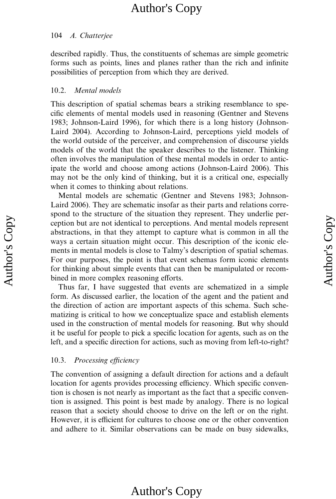### 104 A. Chatterjee

described rapidly. Thus, the constituents of schemas are simple geometric forms such as points, lines and planes rather than the rich and infinite possibilities of perception from which they are derived.

### 10.2. Mental models

This description of spatial schemas bears a striking resemblance to specific elements of mental models used in reasoning (Gentner and Stevens 1983; Johnson-Laird 1996), for which there is a long history (Johnson-Laird 2004). According to Johnson-Laird, perceptions yield models of the world outside of the perceiver, and comprehension of discourse yields models of the world that the speaker describes to the listener. Thinking often involves the manipulation of these mental models in order to anticipate the world and choose among actions (Johnson-Laird 2006). This may not be the only kind of thinking, but it is a critical one, especially when it comes to thinking about relations.

Mental models are schematic (Gentner and Stevens 1983; Johnson-Laird 2006). They are schematic insofar as their parts and relations correspond to the structure of the situation they represent. They underlie perception but are not identical to perceptions. And mental models represent abstractions, in that they attempt to capture what is common in all the ways a certain situation might occur. This description of the iconic elements in mental models is close to Talmy's description of spatial schemas. For our purposes, the point is that event schemas form iconic elements for thinking about simple events that can then be manipulated or recombined in more complex reasoning efforts.

Thus far, I have suggested that events are schematized in a simple form. As discussed earlier, the location of the agent and the patient and the direction of action are important aspects of this schema. Such schematizing is critical to how we conceptualize space and establish elements used in the construction of mental models for reasoning. But why should it be useful for people to pick a specific location for agents, such as on the left, and a specific direction for actions, such as moving from left-to-right?

### 10.3. Processing efficiency

The convention of assigning a default direction for actions and a default location for agents provides processing efficiency. Which specific convention is chosen is not nearly as important as the fact that a specific convention is assigned. This point is best made by analogy. There is no logical reason that a society should choose to drive on the left or on the right. However, it is efficient for cultures to choose one or the other convention and adhere to it. Similar observations can be made on busy sidewalks,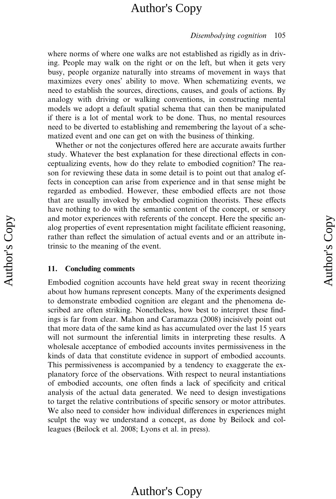#### Disembodying cognition 105

where norms of where one walks are not established as rigidly as in driving. People may walk on the right or on the left, but when it gets very busy, people organize naturally into streams of movement in ways that maximizes every ones' ability to move. When schematizing events, we need to establish the sources, directions, causes, and goals of actions. By analogy with driving or walking conventions, in constructing mental models we adopt a default spatial schema that can then be manipulated if there is a lot of mental work to be done. Thus, no mental resources need to be diverted to establishing and remembering the layout of a schematized event and one can get on with the business of thinking.

Whether or not the conjectures offered here are accurate awaits further study. Whatever the best explanation for these directional effects in conceptualizing events, how do they relate to embodied cognition? The reason for reviewing these data in some detail is to point out that analog effects in conception can arise from experience and in that sense might be regarded as embodied. However, these embodied effects are not those that are usually invoked by embodied cognition theorists. These effects have nothing to do with the semantic content of the concept, or sensory and motor experiences with referents of the concept. Here the specific analog properties of event representation might facilitate efficient reasoning, rather than reflect the simulation of actual events and or an attribute intrinsic to the meaning of the event.

#### 11. Concluding comments

Embodied cognition accounts have held great sway in recent theorizing about how humans represent concepts. Many of the experiments designed to demonstrate embodied cognition are elegant and the phenomena described are often striking. Nonetheless, how best to interpret these findings is far from clear. Mahon and Caramazza (2008) incisively point out that more data of the same kind as has accumulated over the last 15 years will not surmount the inferential limits in interpreting these results. A wholesale acceptance of embodied accounts invites permissiveness in the kinds of data that constitute evidence in support of embodied accounts. This permissiveness is accompanied by a tendency to exaggerate the explanatory force of the observations. With respect to neural instantiations of embodied accounts, one often finds a lack of specificity and critical analysis of the actual data generated. We need to design investigations to target the relative contributions of specific sensory or motor attributes. We also need to consider how individual differences in experiences might sculpt the way we understand a concept, as done by Beilock and colleagues (Beilock et al. 2008; Lyons et al. in press).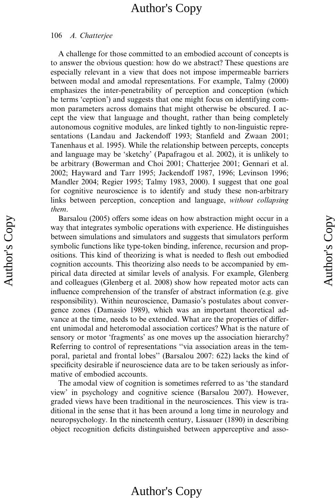#### 106 A. Chatterjee

A challenge for those committed to an embodied account of concepts is to answer the obvious question: how do we abstract? These questions are especially relevant in a view that does not impose impermeable barriers between modal and amodal representations. For example, Talmy (2000) emphasizes the inter-penetrability of perception and conception (which he terms 'ception') and suggests that one might focus on identifying common parameters across domains that might otherwise be obscured. I accept the view that language and thought, rather than being completely autonomous cognitive modules, are linked tightly to non-linguistic representations (Landau and Jackendoff 1993; Stanfield and Zwaan 2001; Tanenhaus et al. 1995). While the relationship between percepts, concepts and language may be 'sketchy' (Papafragou et al. 2002), it is unlikely to be arbitrary (Bowerman and Choi 2001; Chatterjee 2001; Gennari et al. 2002; Hayward and Tarr 1995; Jackendoff 1987, 1996; Levinson 1996; Mandler 2004; Regier 1995; Talmy 1983, 2000). I suggest that one goal for cognitive neuroscience is to identify and study these non-arbitrary links between perception, conception and language, without collapsing them.

Barsalou (2005) offers some ideas on how abstraction might occur in a way that integrates symbolic operations with experience. He distinguishes between simulations and simulators and suggests that simulators perform symbolic functions like type-token binding, inference, recursion and propositions. This kind of theorizing is what is needed to flesh out embodied cognition accounts. This theorizing also needs to be accompanied by empirical data directed at similar levels of analysis. For example, Glenberg and colleagues (Glenberg et al. 2008) show how repeated motor acts can influence comprehension of the transfer of abstract information (e.g. give responsibility). Within neuroscience, Damasio's postulates about convergence zones (Damasio 1989), which was an important theoretical advance at the time, needs to be extended. What are the properties of different unimodal and heteromodal association cortices? What is the nature of sensory or motor 'fragments' as one moves up the association hierarchy? Referring to control of representations ''via association areas in the temporal, parietal and frontal lobes'' (Barsalou 2007: 622) lacks the kind of specificity desirable if neuroscience data are to be taken seriously as informative of embodied accounts.

The amodal view of cognition is sometimes referred to as 'the standard view' in psychology and cognitive science (Barsalou 2007). However, graded views have been traditional in the neurosciences. This view is traditional in the sense that it has been around a long time in neurology and neuropsychology. In the nineteenth century, Lissauer (1890) in describing object recognition deficits distinguished between apperceptive and asso-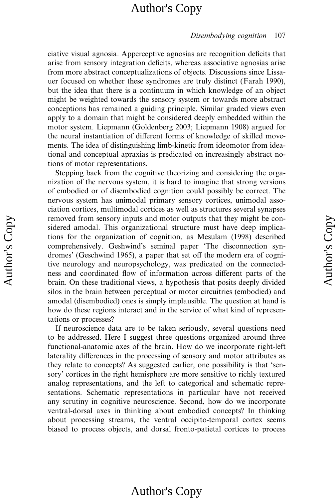#### Disembodying cognition 107

ciative visual agnosia. Apperceptive agnosias are recognition deficits that arise from sensory integration deficits, whereas associative agnosias arise from more abstract conceptualizations of objects. Discussions since Lissauer focused on whether these syndromes are truly distinct (Farah 1990), but the idea that there is a continuum in which knowledge of an object might be weighted towards the sensory system or towards more abstract conceptions has remained a guiding principle. Similar graded views even apply to a domain that might be considered deeply embedded within the motor system. Liepmann (Goldenberg 2003; Liepmann 1908) argued for the neural instantiation of different forms of knowledge of skilled movements. The idea of distinguishing limb-kinetic from ideomotor from ideational and conceptual apraxias is predicated on increasingly abstract notions of motor representations.

Stepping back from the cognitive theorizing and considering the organization of the nervous system, it is hard to imagine that strong versions of embodied or of disembodied cognition could possibly be correct. The nervous system has unimodal primary sensory cortices, unimodal association cortices, multimodal cortices as well as structures several synapses removed from sensory inputs and motor outputs that they might be considered amodal. This organizational structure must have deep implications for the organization of cognition, as Mesulam (1998) described comprehensively. Geshwind's seminal paper 'The disconnection syndromes' (Geschwind 1965), a paper that set off the modern era of cognitive neurology and neuropsychology, was predicated on the connectedness and coordinated flow of information across different parts of the brain. On these traditional views, a hypothesis that posits deeply divided silos in the brain between perceptual or motor circuitries (embodied) and amodal (disembodied) ones is simply implausible. The question at hand is how do these regions interact and in the service of what kind of representations or processes?

If neuroscience data are to be taken seriously, several questions need to be addressed. Here I suggest three questions organized around three functional-anatomic axes of the brain. How do we incorporate right-left laterality differences in the processing of sensory and motor attributes as they relate to concepts? As suggested earlier, one possibility is that 'sensory' cortices in the right hemisphere are more sensitive to richly textured analog representations, and the left to categorical and schematic representations. Schematic representations in particular have not received any scrutiny in cognitive neuroscience. Second, how do we incorporate ventral-dorsal axes in thinking about embodied concepts? In thinking about processing streams, the ventral occipito-temporal cortex seems biased to process objects, and dorsal fronto-patietal cortices to process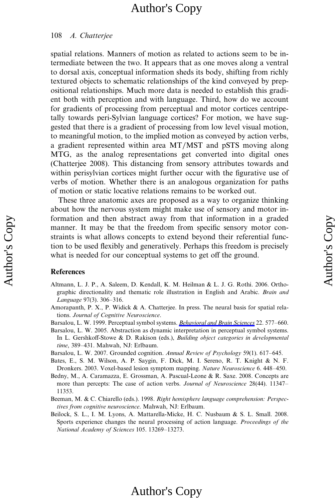#### 108 A. Chatterjee

spatial relations. Manners of motion as related to actions seem to be intermediate between the two. It appears that as one moves along a ventral to dorsal axis, conceptual information sheds its body, shifting from richly textured objects to schematic relationships of the kind conveyed by prepositional relationships. Much more data is needed to establish this gradient both with perception and with language. Third, how do we account for gradients of processing from perceptual and motor cortices centripetally towards peri-Sylvian language cortices? For motion, we have suggested that there is a gradient of processing from low level visual motion, to meaningful motion, to the implied motion as conveyed by action verbs, a gradient represented within area MT/MST and pSTS moving along MTG, as the analog representations get converted into digital ones (Chatterjee 2008). This distancing from sensory attributes towards and within perisylvian cortices might further occur with the figurative use of verbs of motion. Whether there is an analogous organization for paths of motion or static locative relations remains to be worked out.

These three anatomic axes are proposed as a way to organize thinking about how the nervous system might make use of sensory and motor information and then abstract away from that information in a graded manner. It may be that the freedom from specific sensory motor constraints is what allows concepts to extend beyond their referential function to be used flexibly and generatively. Perhaps this freedom is precisely what is needed for our conceptual systems to get off the ground.

#### References

- Altmann, L. J. P., A. Saleem, D. Kendall, K. M. Heilman & L. J. G. Rothi. 2006. Orthographic directionality and thematic role illustration in English and Arabic. Brain and Language 97(3). 306–316.
- Amorapanth, P. X., P. Widick & A. Chatterjee. In press. The neural basis for spatial relations. Journal of Cognitive Neuroscience.
- Barsalou, L. W. 1999. Perceptual symbol systems. Behavioral and Brain Sciences 22. 577–660.
- Barsalou, L. W. 2005. Abstraction as dynamic interpretation in perceptual symbol systems. In L. Gershkoff-Stowe & D. Rakison (eds.), Building object categories in developmental time, 389–431. Mahwah, NJ: Erlbaum.
- Barsalou, L. W. 2007. Grounded cognition. Annual Review of Psychology 59(1). 617–645.
- Bates, E., S. M. Wilson, A. P. Saygin, F. Dick, M. I. Sereno, R. T. Knight & N. F. Dronkers. 2003. Voxel-based lesion symptom mapping. Nature Neuroscience 6. 448–450.
- Bedny, M., A. Caramazza, E. Grossman, A. Pascual-Leone & R. Saxe. 2008. Concepts are more than percepts: The case of action verbs. Journal of Neuroscience 28(44). 11347– 11353.
- Beeman, M. & C. Chiarello (eds.). 1998. Right hemisphere language comprehension: Perspectives from cognitive neuroscience. Mahwah, NJ: Erlbaum.
- Beilock, S. L., I. M. Lyons, A. Mattarella-Micke, H. C. Nusbaum & S. L. Small. 2008. Sports experience changes the neural processing of action language. Proceedings of the National Academy of Sciences 105. 13269–13273.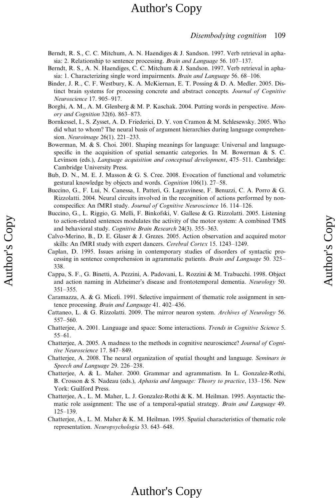#### Disembodying cognition 109

- Berndt, R. S., C. C. Mitchum, A. N. Haendiges & J. Sandson. 1997. Verb retrieval in aphasia: 2. Relationship to sentence processing. Brain and Language 56. 107–137.
- Berndt, R. S., A. N. Haendiges, C. C. Mitchum & J. Sandson. 1997. Verb retrieval in aphasia: 1. Characterizing single word impairments. Brain and Language 56. 68–106.
- Binder, J. R., C. F. Westbury, K. A. McKiernan, E. T. Possing & D. A. Medler. 2005. Distinct brain systems for processing concrete and abstract concepts. Journal of Cognitive Neuroscience 17. 905–917.
- Borghi, A. M., A. M. Glenberg & M. P. Kaschak. 2004. Putting words in perspective. Memory and Cognition 32(6). 863–873.
- Bornkessel, I., S. Zysset, A. D. Friederici, D. Y. von Cramon & M. Schlesewsky. 2005. Who did what to whom? The neural basis of argument hierarchies during language comprehension. Neuroimage 26(1). 221–233.
- Bowerman, M. & S. Choi. 2001. Shaping meanings for language: Universal and languagespecific in the acquisition of spatial semantic categories. In M. Bowerman  $\& S$ . C. Levinson (eds.), Language acquisition and conceptual development, 475–511. Cambridge: Cambridge University Press.
- Bub, D. N., M. E. J. Masson & G. S. Cree. 2008. Evocation of functional and volumetric gestural knowledge by objects and words. Cognition 106(1). 27–58.
- Buccino, G., F. Lui, N. Canessa, I. Patteri, G. Lagravinese, F. Benuzzi, C. A. Porro & G. Rizzolatti. 2004. Neural circuits involved in the recognition of actions performed by nonconspecifics: An fMRI study. Journal of Cognitive Neuroscience 16. 114–126.
- Buccino, G., L. Riggio, G. Melli, F. Binkofski, V. Gallese & G. Rizzolatti. 2005. Listening to action-related sentences modulates the activity of the motor system: A combined TMS and behavioral study. Cognitive Brain Research 24(3). 355–363.
- Calvo-Merino, B., D. E. Glaser & J. Grezes. 2005. Action observation and acquired motor skills: An fMRI study with expert dancers. Cerebral Cortex 15. 1243–1249.
- Caplan, D. 1995. Issues arising in contemporary studies of disorders of syntactic processing in sentence comprehension in agrammatic patients. Brain and Language 50. 325– 338.
- Cappa, S. F., G. Binetti, A. Pezzini, A. Padovani, L. Rozzini & M. Trabucchi. 1998. Object and action naming in Alzheimer's disease and frontotemporal dementia. Neurology 50. 351–355.
- Caramazza, A. & G. Miceli. 1991. Selective impairment of thematic role assignment in sentence processing. Brain and Language 41. 402–436.
- Cattaneo, L. & G. Rizzolatti. 2009. The mirror neuron system. Archives of Neurology 56. 557–560.
- Chatterjee, A. 2001. Language and space: Some interactions. Trends in Cognitive Science 5. 55–61.
- Chatterjee, A. 2005. A madness to the methods in cognitive neuroscience? Journal of Cognitive Neuroscience 17. 847–849.
- Chatterjee, A. 2008. The neural organization of spatial thought and language. Seminars in Speech and Language 29. 226–238.
- Chatterjee, A. & L. Maher. 2000. Grammar and agrammatism. In L. Gonzalez-Rothi, B. Crosson & S. Nadeau (eds.), Aphasia and language: Theory to practice, 133–156. New York: Guilford Press.
- Chatterjee, A., L. M. Maher, L. J. Gonzalez-Rothi & K. M. Heilman. 1995. Asyntactic thematic role assignment: The use of a temporal-spatial strategy. Brain and Language 49. 125–139.
- Chatterjee, A., L. M. Maher & K. M. Heilman. 1995. Spatial characteristics of thematic role representation. Neuropsychologia 33. 643–648.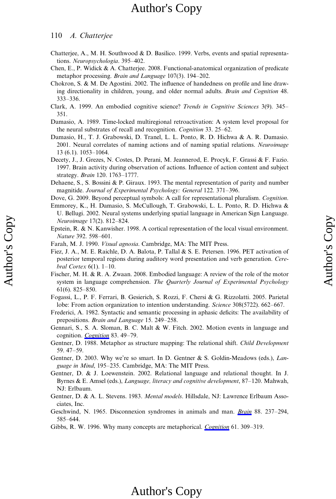#### 110 A. Chatterjee

- Chatterjee, A., M. H. Southwood & D. Basilico. 1999. Verbs, events and spatial representations. Neuropsychologia. 395–402.
- Chen, E., P. Widick & A. Chatterjee. 2008. Functional-anatomical organization of predicate metaphor processing. Brain and Language 107(3). 194–202.
- Chokron, S. & M. De Agostini. 2002. The influence of handedness on profile and line drawing directionality in children, young, and older normal adults. Brain and Cognition 48. 333–336.
- Clark, A. 1999. An embodied cognitive science? Trends in Cognitive Sciences 3(9). 345– 351.
- Damasio, A. 1989. Time-locked multiregional retroactivation: A system level proposal for the neural substrates of recall and recognition. Cognition 33. 25–62.
- Damasio, H., T. J. Grabowski, D. Tranel, L. L. Ponto, R. D. Hichwa & A. R. Damasio. 2001. Neural correlates of naming actions and of naming spatial relations. Neuroimage 13 (6.1). 1053–1064.
- Decety, J., J. Grezes, N. Costes, D. Perani, M. Jeannerod, E. Procyk, F. Grassi & F. Fazio. 1997. Brain activity during observation of actions. Influence of action content and subject strategy. Brain 120. 1763–1777.
- Dehaene, S., S. Bossini & P. Giraux. 1993. The mental representation of parity and number magnitide. Journal of Experimental Psychology: General 122. 371–396.
- Dove, G. 2009. Beyond perceptual symbols: A call for representational pluralism. Cognition.
- Emmorey, K., H. Damasio, S. McCullough, T. Grabowski, L. L. Ponto, R. D. Hichwa & U. Bellugi. 2002. Neural systems underlying spatial language in American Sign Language. Neuroimage 17(2). 812–824.
- Epstein, R. & N. Kanwisher. 1998. A cortical representation of the local visual environment. Nature 392. 598–601.
- Farah, M. J. 1990. Visual agnosia. Cambridge, MA: The MIT Press.
- Fiez, J. A., M. E. Raichle, D. A. Balota, P. Tallal & S. E. Petersen. 1996. PET activation of posterior temporal regions during auditory word presentation and verb generation. Cerebral Cortex 6(1). 1–10.
- Fischer, M. H. & R. A. Zwaan. 2008. Embodied language: A review of the role of the motor system in language comprehension. The Quarterly Journal of Experimental Psychology 61(6). 825–850.
- Fogassi, L., P. F. Ferrari, B. Gesierich, S. Rozzi, F. Chersi & G. Rizzolatti. 2005. Parietal lobe: From action organization to intention understanding. Science 308(5722). 662–667.
- Frederici, A. 1982. Syntactic and semantic processing in aphasic deficits: The availability of prepositions. Brain and Language 15. 249–258.
- Gennari, S., S. A. Sloman, B. C. Malt & W. Fitch. 2002. Motion events in language and cognition. Cognition 83. 49-79.
- Gentner, D. 1988. Metaphor as structure mapping: The relational shift. Child Development 59. 47–59.
- Gentner, D. 2003. Why we're so smart. In D. Gentner & S. Goldin-Meadows (eds.), Language in Mind, 195–235. Cambridge, MA: The MIT Press.
- Gentner, D. & J. Loewenstein. 2002. Relational language and relational thought. In J. Byrnes & E. Amsel (eds.), Language, literacy and cognitive development, 87–120. Mahwah, NJ: Erlbaum.
- Gentner, D. & A. L. Stevens. 1983. Mental models. Hillsdale, NJ: Lawrence Erlbaum Associates, Inc.
- Geschwind, N. 1965. Disconnexion syndromes in animals and man. Brain 88. 237–294, 585–644.
- Gibbs, R. W. 1996. Why many concepts are metaphorical. *Cognition* 61. 309–319.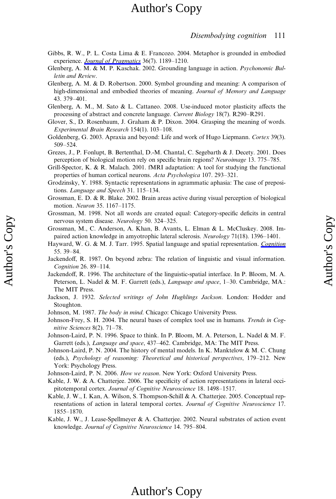### Disembodying cognition 111

- Gibbs, R. W., P. L. Costa Lima & E. Francozo. 2004. Metaphor is grounded in embodied experience. Journal of Pragmatics 36(7). 1189-1210.
- Glenberg, A. M. & M. P. Kaschak. 2002. Grounding language in action. Psychonomic Bulletin and Review.
- Glenberg, A. M. & D. Robertson. 2000. Symbol grounding and meaning: A comparison of high-dimensional and embodied theories of meaning. Journal of Memory and Language 43. 379–401.
- Glenberg, A. M., M. Sato & L. Cattaneo. 2008. Use-induced motor plasticity affects the processing of abstract and concrete language. Current Biology 18(7). R290–R291.
- Glover, S., D. Rosenbaum, J. Graham & P. Dixon. 2004. Grasping the meaning of words. Experimental Brain Research 154(1). 103–108.
- Goldenberg, G. 2003. Apraxia and beyond: Life and work of Hugo Liepmann. Cortex 39(3). 509–524.
- Grezes, J., P. Fonlupt, B. Bertenthal, D.-M. Chantal, C. Segebarth & J. Decety. 2001. Does perception of biological motion rely on specific brain regions? Neuroimage 13. 775–785.
- Grill-Spector, K. & R. Malach. 2001. fMRI adaptation: A tool for studying the functional properties of human cortical neurons. Acta Psychologica 107. 293–321.
- Grodzinsky, Y. 1988. Syntactic representations in agrammatic aphasia: The case of prepositions. Language and Speech 31. 115–134.
- Grossman, E. D. & R. Blake. 2002. Brain areas active during visual perception of biological motion. Neuron 35. 1167–1175.
- Grossman, M. 1998. Not all words are created equal: Category-specific deficits in central nervous system disease. Neurology 50. 324–325.
- Grossman, M., C. Anderson, A. Khan, B. Avants, L. Elman & L. McCluskey. 2008. Impaired action knowledge in amyotrophic lateral sclerosis. Neurology 71(18). 1396–1401.
- Hayward, W. G. & M. J. Tarr. 1995. Spatial language and spatial representation. Cognition 55. 39–84.
- Jackendoff, R. 1987. On beyond zebra: The relation of linguistic and visual information. Cognition 26. 89–114.
- Jackendoff, R. 1996. The architecture of the linguistic-spatial interface. In P. Bloom, M. A. Peterson, L. Nadel & M. F. Garrett (eds.), *Language and space*, 1–30. Cambridge, MA.: The MIT Press.
- Jackson, J. 1932. Selected writings of John Hughlings Jackson. London: Hodder and Stoughton.
- Johnson, M. 1987. The body in mind. Chicago: Chicago University Press.

Author's Copy Author's Copy

- Johnson-Frey, S. H. 2004. The neural bases of complex tool use in humans. Trends in Cognitive Sciences 8(2). 71–78.
- Johnson-Laird, P. N. 1996. Space to think. In P. Bloom, M. A. Peterson, L. Nadel & M. F. Garrett (eds.), Language and space, 437–462. Cambridge, MA: The MIT Press.
- Johnson-Laird, P. N. 2004. The history of mental models. In K. Manktelow & M. C. Chung (eds.), Psychology of reasoning: Theoretical and historical perspectives, 179–212. New York: Psychology Press.
- Johnson-Laird, P. N. 2006. How we reason. New York: Oxford University Press.
- Kable, J. W. & A. Chatterjee. 2006. The specificity of action representations in lateral occipitotemporal cortex. Journal of Cognitive Neuroscience 18. 1498–1517.
- Kable, J. W., I. Kan, A. Wilson, S. Thompson-Schill & A. Chatterjee. 2005. Conceptual representations of action in lateral temporal cortex. Journal of Cognitive Neuroscience 17. 1855–1870.
- Kable, J. W., J. Lease-Spellmeyer & A. Chatterjee. 2002. Neural substrates of action event knowledge. Journal of Cognitive Neuroscience 14. 795–804.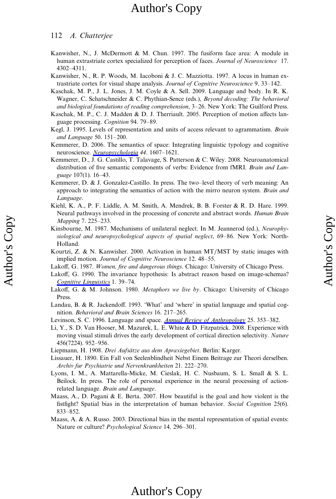#### 112 A. Chatterjee

Author's Copy Author's Copy

- Kanwisher, N., J. McDermott & M. Chun. 1997. The fusiform face area: A module in human extrastriate cortex specialized for perception of faces. Journal of Neuroscience 17. 4302–4311.
- Kanwisher, N., R. P. Woods, M. Iacoboni & J. C. Mazziotta. 1997. A locus in human extrastriate cortex for visual shape analysis. Journal of Cognitive Neuroscience 9. 33–142.
- Kaschak, M. P., J. L. Jones, J. M. Coyle & A. Sell. 2009. Language and body. In R. K. Wagner, C. Schatschneider & C. Phythian-Sence (eds.), Beyond decoding: The behavioral and biological foundations of reading comprehension, 3–26. New York: The Guilford Press.
- Kaschak, M. P., C. J. Madden & D. J. Therriault. 2005. Perception of motion affects language processing. Cognition 94. 79–89.
- Kegl, J. 1995. Levels of representation and units of access relevant to agrammatism. Brain and Language 50. 151–200.
- Kemmerer, D. 2006. The semantics of space: Integrating linguistic typology and cognitive neuroscience. Neuropsychologia 44. 1607–1621.
- Kemmerer, D., J. G. Castillo, T. Talavage, S. Patterson & C. Wiley. 2008. Neuroanatomical distribution of five semantic components of verbs: Evidence from fMRI. Brain and Language 107(1). 16–43.
- Kemmerer, D. & J. Gonzalez-Castillo. In press. The two–level theory of verb meaning: An approach to integrating the semantics of action with the mirro neuron system. Brain and Language.
- Kiehl, K. A., P. F. Liddle, A. M. Smith, A. Mendrek, B. B. Forster & R. D. Hare. 1999. Neural pathways involved in the processing of concrete and abstract words. Human Brain Mapping 7. 225–233.
- Kinsbourne, M. 1987. Mechanisms of unilateral neglect. In M. Jeannerod (ed.), Neurophysiological and neuropsychological aspects of spatial neglect, 69–86. New York: North-Holland.
- Kourtzi, Z. & N. Kanwisher. 2000. Activation in human MT/MST by static images with implied motion. Journal of Cognitive Neuroscience 12. 48–55.
- Lakoff, G. 1987. Women, fire and dangerous things. Chicago: University of Chicago Press.
- Lakoff, G. 1990. The invariance hypothesis: Is abstract reason based on image-schemas? Cognitive Linguistics 1. 39–74.
- Lakoff, G. & M. Johnson. 1980. *Metaphors we live by*. Chicago: University of Chicago Press.
- Landau, B. & R. Jackendoff. 1993. 'What' and 'where' in spatial language and spatial cognition. Behavioral and Brain Sciences 16. 217–265.
- Levinson, S. C. 1996. Language and space. **Annual Review of Anthropology** 25. 353-382.
- Li, Y., S. D. Van Hooser, M. Mazurek, L. E. White & D. Fitzpatrick. 2008. Experience with moving visual stimuli drives the early development of cortical direction selectivity. Nature 456(7224). 952–956.
- Liepmann, H. 1908. Drei Aufsätze aus dem Apraxiegebiet. Berlin: Karger.
- Lissauer, H. 1890. Ein Fall von Seelenblindheit Nebst Einem Beitrage zur Theori derselben. Archiv fur Psychiatrie und Nervenkrankheiten 21. 222–270.
- Lyons, I. M., A. Mattarella-Micke, M. Cieslak, H. C. Nusbaum, S. L. Small & S. L. Beilock. In press. The role of personal experience in the neural processing of actionrelated language. Brain and Language.
- Maass, A., D. Pagani & E. Berta. 2007. How beautiful is the goal and how violent is the fistfight? Spatial bias in the interpretation of human behavior. Social Cognition 25(6). 833–852.
- Maass, A. & A. Russo. 2003. Directional bias in the mental representation of spatial events: Nature or culture? Psychological Science 14. 296–301.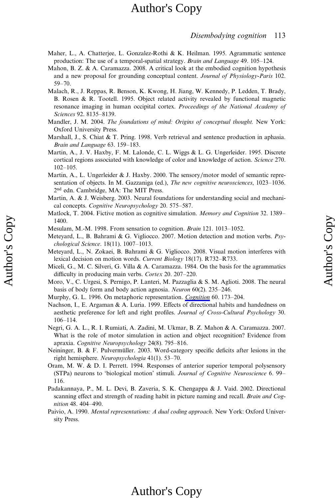#### Disembodying cognition 113

- Maher, L., A. Chatterjee, L. Gonzalez-Rothi & K. Heilman. 1995. Agrammatic sentence production: The use of a temporal-spatial strategy. Brain and Language 49. 105–124.
- Mahon, B. Z. & A. Caramazza. 2008. A critical look at the embodied cognition hypothesis and a new proposal for grounding conceptual content. Journal of Physiology-Paris 102. 59–70.
- Malach, R., J. Reppas, R. Benson, K. Kwong, H. Jiang, W. Kennedy, P. Ledden, T. Brady, B. Rosen & R. Tootell. 1995. Object related activity revealed by functional magnetic resonance imaging in human occipital cortex. Proceedings of the National Academy of Sciences 92. 8135–8139.
- Mandler, J. M. 2004. The foundations of mind: Origins of conceptual thought. New York: Oxford University Press.
- Marshall, J., S. Chiat & T. Pring. 1998. Verb retrieval and sentence production in aphasia. Brain and Language 63. 159–183.
- Martin, A., J. V. Haxby, F. M. Lalonde, C. L. Wiggs & L. G. Ungerleider. 1995. Discrete cortical regions associated with knowledge of color and knowledge of action. Science 270. 102–105.
- Martin, A., L. Ungerleider & J. Haxby. 2000. The sensory/motor model of semantic representation of objects. In M. Gazzaniga (ed.), *The new cognitive neurosciences*, 1023–1036. 2<sup>nd</sup> edn. Cambridge, MA: The MIT Press.
- Martin, A. & J. Weisberg. 2003. Neural foundations for understanding social and mechanical concepts. Cognitive Neuropsychology 20. 575–587.
- Matlock, T. 2004. Fictive motion as cognitive simulation. *Memory and Cognition* 32. 1389– 1400.
- Mesulam, M.-M. 1998. From sensation to cognition. Brain 121. 1013–1052.

Author's Copy Author's Copy

- Meteyard, L., B. Bahrami & G. Vigliocco. 2007. Motion detection and motion verbs.  $P_{SV}$ chological Science. 18(11). 1007–1013.
- Meteyard, L., N. Zokaei, B. Bahrami & G. Vigliocco. 2008. Visual motion interferes with lexical decision on motion words. Current Biology 18(17). R732–R733.
- Miceli, G., M. C. Silveri, G. Villa & A. Caramazza. 1984. On the basis for the agrammatics difficulty in producing main verbs. Cortex 20. 207–220.
- Moro, V., C. Urgesi, S. Pernigo, P. Lanteri, M. Pazzaglia & S. M. Aglioti. 2008. The neural basis of body form and body action agnosia. Neuron 60(2). 235–246.
- Murphy, G. L. 1996. On metaphoric representation. Cognition 60. 173–204.
- Nachson, I., E. Argaman & A. Luria. 1999. Effects of directional habits and handedness on aesthetic preference for left and right profiles. Journal of Cross-Cultural Psychology 30. 106–114.
- Negri, G. A. L., R. I. Rumiati, A. Zadini, M. Ukmar, B. Z. Mahon & A. Caramazza. 2007. What is the role of motor simulation in action and object recognition? Evidence from apraxia. Cognitive Neuropsychology 24(8). 795–816.
- Neininger, B. & F. Pulvermüller. 2003. Word-category specific deficits after lesions in the right hemisphere. Neuropsychologia 41(1). 53–70.
- Oram, M. W. & D. I. Perrett. 1994. Responses of anterior superior temporal polysensory (STPa) neurons to 'biological motion' stimuli. Journal of Cognitive Neuroscience 6. 99– 116.
- Padakannaya, P., M. L. Devi, B. Zaveria, S. K. Chengappa & J. Vaid. 2002. Directional scanning effect and strength of reading habit in picture naming and recall. Brain and Cognition 48. 404–490.
- Paivio, A. 1990. Mental representations: A dual coding approach. New York: Oxford University Press.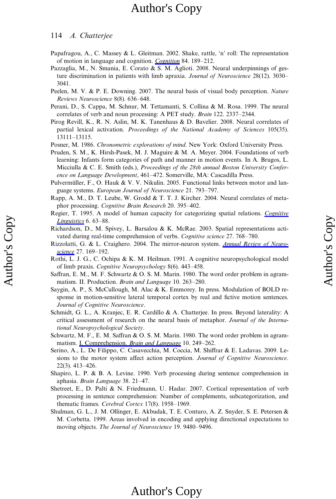#### 114 A. Chatterjee

Author's Copy Author's Copy

- Papafragou, A., C. Massey & L. Gleitman. 2002. Shake, rattle, 'n' roll: The representation of motion in language and cognition. Cognition 84. 189–212.
- Pazzaglia, M., N. Smania, E. Corato & S. M. Aglioti. 2008. Neural underpinnings of gesture discrimination in patients with limb apraxia. Journal of Neuroscience 28(12). 3030– 3041.
- Peelen, M. V. & P. E. Downing. 2007. The neural basis of visual body perception. Nature Reviews Neuroscience 8(8). 636–648.
- Perani, D., S. Cappa, M. Schnur, M. Tettamanti, S. Collina & M. Rosa. 1999. The neural correlates of verb and noun processing: A PET study. Brain 122. 2337–2344.
- Pirog Revill, K., R. N. Aslin, M. K. Tanenhaus & D. Bavelier. 2008. Neural correlates of partial lexical activation. Proceedings of the National Academy of Sciences 105(35). 13111–13115.
- Posner, M. 1986. Chronometric explorations of mind. New York: Oxford University Press.
- Pruden, S. M., K. Hirsh-Pasek, M. J. Maguire & M. A. Meyer. 2004. Foundations of verb learning: Infants form categories of path and manner in motion events. In A. Brugos, L. Micciulla & C. E. Smith (eds.), Proceedings of the 28th annual Boston University Conference on Language Development, 461–472. Somerville, MA: Cascadilla Press.
- Pulvermüller, F., O. Hauk & V. V. Nikulin. 2005. Functional links between motor and language systems. European Journal of Neuroscience 21. 793–797.
- Rapp, A. M., D. T. Leube, W. Grodd & T. T. J. Kircher. 2004. Neural correlates of metaphor processing. Cognitive Brain Research 20. 395–402.
- Regier, T. 1995. A model of human capacity for categorizing spatial relations. Cognitive Linguistics 6. 63–88.
- Richardson, D., M. Spivey, L. Barsalou & K. McRae. 2003. Spatial representations activated during real-time comprehension of verbs. Cognitive science 27. 768–780.
- Rizzolatti, G. & L. Craighero. 2004. The mirror-neuron system. Annual Review of Neuroscience 27. 169–192.
- Rothi, L. J. G., C. Ochipa & K. M. Heilman. 1991. A cognitive neuropsychological model of limb praxis. Cognitive Neuropsychology 8(6). 443–458.
- Saffran, E. M., M. F. Schwartz & O. S. M. Marin. 1980. The word order problem in agrammatism. II. Production. Brain and Language 10. 263–280.
- Saygin, A. P., S. McCullough, M. Alac & K. Emmorey. In press. Modulation of BOLD response in motion-sensitive lateral temporal cortex by real and fictive motion sentences. Journal of Cognitive Neuroscience.
- Schmidt, G. L., A. Kranjec, E. R. Cardillo & A. Chatterjee. In press. Beyond laterality: A critical assessment of research on the neural basis of metaphor. Journal of the International Neuropsychological Society.
- Schwartz, M. F., E. M. Saffran & O. S. M. Marin. 1980. The word order problem in agrammatism. I. Comprehension. Brain and Language 10. 249–262.
- Serino, A., L. De Filippo, C. Casavecchia, M. Coccia, M. Shiffrar & E. Ladavas. 2009. Lesions to the motor system affect action perception. Journal of Cognitive Neuroscience. 22(3). 413–426.
- Shapiro, L. P. & B. A. Levine. 1990. Verb processing during sentence comprehension in aphasia. Brain Language 38. 21–47.
- Shetreet, E., D. Palti & N. Friedmann, U. Hadar. 2007. Cortical representation of verb processing in sentence comprehension: Number of complements, subcategorization, and thematic frames. Cerebral Cortex 17(8). 1958–1969.
- Shulman, G. L., J. M. Ollinger, E. Akbudak, T. E. Conturo, A. Z. Snyder, S. E. Petersen & M. Corbetta. 1999. Areas involved in encoding and applying directional expectations to moving objects. The Journal of Neuroscience 19. 9480–9496.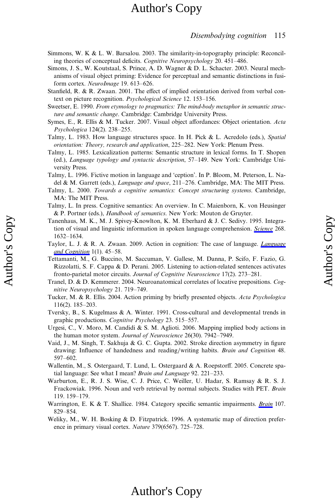Author's Copy

Author's Copy

- Simmons, W. K & L. W. Barsalou. 2003. The similarity-in-topography principle: Reconciling theories of conceptual deficits. Cognitive Neuropsychology 20. 451–486.
- Simons, J. S., W. Koutstaal, S. Prince, A. D. Wagner & D. L. Schacter. 2003. Neural mechanisms of visual object priming: Evidence for perceptual and semantic distinctions in fusiform cortex. NeuroImage 19. 613–626.
- Stanfield, R. & R. Zwaan. 2001. The effect of implied orientation derived from verbal context on picture recognition. Psychological Science 12. 153–156.
- Sweetser, E. 1990. From etymology to pragmatics: The mind-body metaphor in semantic structure and semantic change. Cambridge: Cambridge University Press.
- Symes, E., R. Ellis & M. Tucker. 2007. Visual object affordances: Object orientation. Acta Psychologica 124(2). 238–255.
- Talmy, L. 1983. How language structures space. In H. Pick & L. Acredolo (eds.), Spatial orientation: Theory, research and application, 225–282. New York: Plenum Press.
- Talmy, L. 1985. Lexicalization patterns: Semantic structure in lexical forms. In T. Shopen (ed.), Language typology and syntactic description, 57–149. New York: Cambridge University Press.
- Talmy, L. 1996. Fictive motion in language and 'ception'. In P. Bloom, M. Peterson, L. Nadel & M. Garrett (eds.), Language and space, 211-276. Cambridge, MA: The MIT Press.
- Talmy, L. 2000. Towards a cognitive semantics: Concept structuring systems. Cambridge, MA: The MIT Press.
- Talmy, L. In press. Cognitive semantics: An overview. In C. Maienborn, K. von Heusinger & P. Portner (eds.), Handbook of semantics. New York: Mouton de Gruyter.
- Tanenhaus, M. K., M. J. Spivey-Knowlton, K. M. Eberhard & J. C. Sedivy. 1995. Integration of visual and linguistic information in spoken language comprehension. Science 268. 1632–1634.
- Taylor, L. J. & R. A. Zwaan. 2009. Action in cognition: The case of language. *Language* and Cognition 1(1). 45–58.
- Tettamanti, M., G. Buccino, M. Saccuman, V. Gallese, M. Danna, P. Scifo, F. Fazio, G. Rizzolatti, S. F. Cappa & D. Perani. 2005. Listening to action-related sentences activates fronto-parietal motor circuits. Journal of Cognitive Neuroscience 17(2). 273–281.
- Tranel, D. & D. Kemmerer. 2004. Neuroanatomical correlates of locative prepositions. Cognitive Neuropsychology 21. 719–749.
- Tucker, M. & R. Ellis. 2004. Action priming by briefly presented objects. Acta Psychologica 116(2). 185–203.
- Tversky, B., S. Kugelmass & A. Winter. 1991. Cross-cultural and developmental trends in graphic productions. Cognitive Psychology 23. 515–557.
- Urgesi, C., V. Moro, M. Candidi & S. M. Aglioti. 2006. Mapping implied body actions in the human motor system. Journal of Neuroscience 26(30). 7942–7949.
- Vaid, J., M. Singh, T. Sakhuja & G. C. Gupta. 2002. Stroke direction asymmetry in figure drawing: Influence of handedness and reading/writing habits. Brain and Cognition 48. 597–602.
- Wallentin, M., S. Ostergaard, T. Lund, L. Ostergaard & A. Roepstorff. 2005. Concrete spatial language: See what I mean? Brain and Language 92. 221–233.
- Warburton, E., R. J. S. Wise, C. J. Price, C. Weiller, U. Hadar, S. Ramsay & R. S. J. Frackowiak. 1996. Noun and verb retrieval by normal subjects. Studies with PET. Brain 119. 159–179.
- Warrington, E. K & T. Shallice. 1984. Category specific semantic impairments. Brain 107. 829–854.
- Weliky, M., W. H. Bosking & D. Fitzpatrick. 1996. A systematic map of direction preference in primary visual cortex. Nature 379(6567). 725–728.